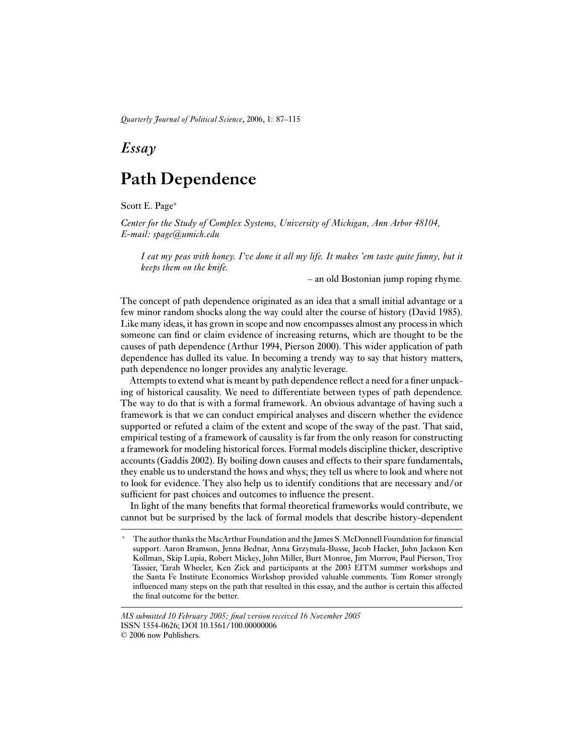*Quarterly Journal of Political Science*, 2006, 1: 87–115

# *Essay*

# **Path Dependence**

Scott E. Page<sup>∗</sup>

*Center for the Study of Complex Systems, University of Michigan, Ann Arbor 48104, E-mail: spage@umich.edu*

*I eat my peas with honey. I've done it all my life. It makes 'em taste quite funny, but it keeps them on the knife.*

– an old Bostonian jump roping rhyme.

The concept of path dependence originated as an idea that a small initial advantage or a few minor random shocks along the way could alter the course of history (David 1985). Like many ideas, it has grown in scope and now encompasses almost any process in which someone can find or claim evidence of increasing returns, which are thought to be the causes of path dependence (Arthur 1994, Pierson 2000). This wider application of path dependence has dulled its value. In becoming a trendy way to say that history matters, path dependence no longer provides any analytic leverage.

Attempts to extend what is meant by path dependence reflect a need for a finer unpacking of historical causality. We need to differentiate between types of path dependence. The way to do that is with a formal framework. An obvious advantage of having such a framework is that we can conduct empirical analyses and discern whether the evidence supported or refuted a claim of the extent and scope of the sway of the past. That said, empirical testing of a framework of causality is far from the only reason for constructing a framework for modeling historical forces. Formal models discipline thicker, descriptive accounts (Gaddis 2002). By boiling down causes and effects to their spare fundamentals, they enable us to understand the hows and whys; they tell us where to look and where not to look for evidence. They also help us to identify conditions that are necessary and/or sufficient for past choices and outcomes to influence the present.

In light of the many benefits that formal theoretical frameworks would contribute, we cannot but be surprised by the lack of formal models that describe history-dependent

The author thanks the MacArthur Foundation and the James S. McDonnell Foundation for financial support. Aaron Bramson, Jenna Bednar, Anna Grzymala-Busse, Jacob Hacker, John Jackson Ken Kollman, Skip Lupia, Robert Mickey, John Miller, Burt Monroe, Jim Morrow, Paul Pierson, Troy Tassier, Tarah Wheeler, Ken Zick and participants at the 2003 EITM summer workshops and the Santa Fe Institute Economics Workshop provided valuable comments. Tom Romer strongly influenced many steps on the path that resulted in this essay, and the author is certain this affected the final outcome for the better.

*MS submitted 10 February 2005; final version received 16 November 2005* ISSN 1554-0626; DOI 10.1561/100.00000006

<sup>© 2006</sup> now Publishers.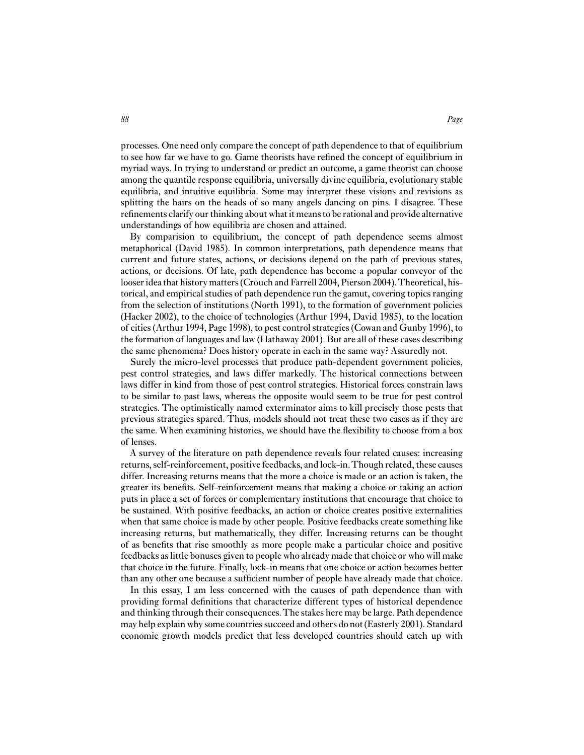processes. One need only compare the concept of path dependence to that of equilibrium to see how far we have to go. Game theorists have refined the concept of equilibrium in myriad ways. In trying to understand or predict an outcome, a game theorist can choose among the quantile response equilibria, universally divine equilibria, evolutionary stable equilibria, and intuitive equilibria. Some may interpret these visions and revisions as splitting the hairs on the heads of so many angels dancing on pins. I disagree. These refinements clarify our thinking about what it means to be rational and provide alternative understandings of how equilibria are chosen and attained.

By comparision to equilibrium, the concept of path dependence seems almost metaphorical (David 1985). In common interpretations, path dependence means that current and future states, actions, or decisions depend on the path of previous states, actions, or decisions. Of late, path dependence has become a popular conveyor of the looser idea that history matters (Crouch and Farrell 2004, Pierson 2004). Theoretical, historical, and empirical studies of path dependence run the gamut, covering topics ranging from the selection of institutions (North 1991), to the formation of government policies (Hacker 2002), to the choice of technologies (Arthur 1994, David 1985), to the location of cities (Arthur 1994, Page 1998), to pest control strategies (Cowan and Gunby 1996), to the formation of languages and law (Hathaway 2001). But are all of these cases describing the same phenomena? Does history operate in each in the same way? Assuredly not.

Surely the micro-level processes that produce path-dependent government policies, pest control strategies, and laws differ markedly. The historical connections between laws differ in kind from those of pest control strategies. Historical forces constrain laws to be similar to past laws, whereas the opposite would seem to be true for pest control strategies. The optimistically named exterminator aims to kill precisely those pests that previous strategies spared. Thus, models should not treat these two cases as if they are the same. When examining histories, we should have the flexibility to choose from a box of lenses.

A survey of the literature on path dependence reveals four related causes: increasing returns, self-reinforcement, positive feedbacks, and lock-in.Though related, these causes differ. Increasing returns means that the more a choice is made or an action is taken, the greater its benefits. Self-reinforcement means that making a choice or taking an action puts in place a set of forces or complementary institutions that encourage that choice to be sustained. With positive feedbacks, an action or choice creates positive externalities when that same choice is made by other people. Positive feedbacks create something like increasing returns, but mathematically, they differ. Increasing returns can be thought of as benefits that rise smoothly as more people make a particular choice and positive feedbacks as little bonuses given to people who already made that choice or who will make that choice in the future. Finally, lock-in means that one choice or action becomes better than any other one because a sufficient number of people have already made that choice.

In this essay, I am less concerned with the causes of path dependence than with providing formal definitions that characterize different types of historical dependence and thinking through their consequences.The stakes here may be large. Path dependence may help explain why some countries succeed and others do not (Easterly 2001). Standard economic growth models predict that less developed countries should catch up with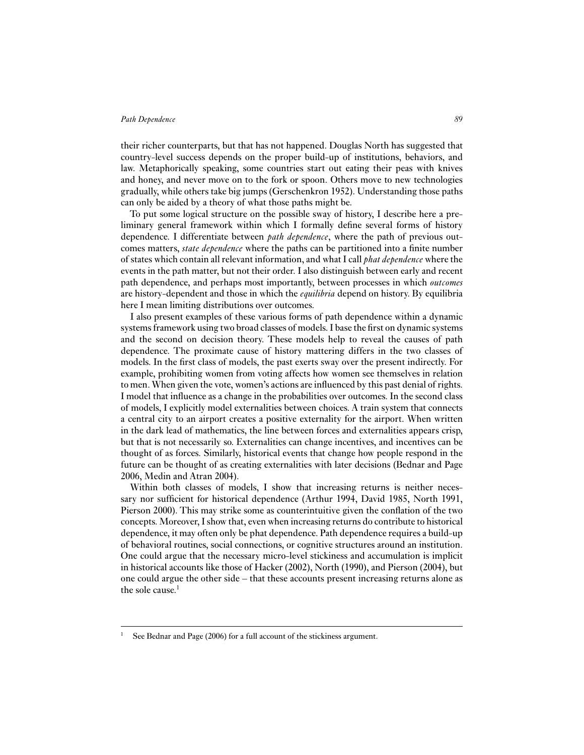their richer counterparts, but that has not happened. Douglas North has suggested that country-level success depends on the proper build-up of institutions, behaviors, and law. Metaphorically speaking, some countries start out eating their peas with knives and honey, and never move on to the fork or spoon. Others move to new technologies gradually, while others take big jumps (Gerschenkron 1952). Understanding those paths can only be aided by a theory of what those paths might be.

To put some logical structure on the possible sway of history, I describe here a preliminary general framework within which I formally define several forms of history dependence. I differentiate between *path dependence*, where the path of previous outcomes matters, *state dependence* where the paths can be partitioned into a finite number of states which contain all relevant information, and what I call *phat dependence* where the events in the path matter, but not their order. I also distinguish between early and recent path dependence, and perhaps most importantly, between processes in which *outcomes* are history-dependent and those in which the *equilibria* depend on history. By equilibria here I mean limiting distributions over outcomes.

I also present examples of these various forms of path dependence within a dynamic systems framework using two broad classes of models. I base the first on dynamic systems and the second on decision theory. These models help to reveal the causes of path dependence. The proximate cause of history mattering differs in the two classes of models. In the first class of models, the past exerts sway over the present indirectly. For example, prohibiting women from voting affects how women see themselves in relation to men. When given the vote, women's actions are influenced by this past denial of rights. I model that influence as a change in the probabilities over outcomes. In the second class of models, I explicitly model externalities between choices. A train system that connects a central city to an airport creates a positive externality for the airport. When written in the dark lead of mathematics, the line between forces and externalities appears crisp, but that is not necessarily so. Externalities can change incentives, and incentives can be thought of as forces. Similarly, historical events that change how people respond in the future can be thought of as creating externalities with later decisions (Bednar and Page 2006, Medin and Atran 2004).

Within both classes of models, I show that increasing returns is neither necessary nor sufficient for historical dependence (Arthur 1994, David 1985, North 1991, Pierson 2000). This may strike some as counterintuitive given the conflation of the two concepts. Moreover, I show that, even when increasing returns do contribute to historical dependence, it may often only be phat dependence. Path dependence requires a build-up of behavioral routines, social connections, or cognitive structures around an institution. One could argue that the necessary micro-level stickiness and accumulation is implicit in historical accounts like those of Hacker (2002), North (1990), and Pierson (2004), but one could argue the other side – that these accounts present increasing returns alone as the sole cause.<sup>1</sup>

See Bednar and Page (2006) for a full account of the stickiness argument.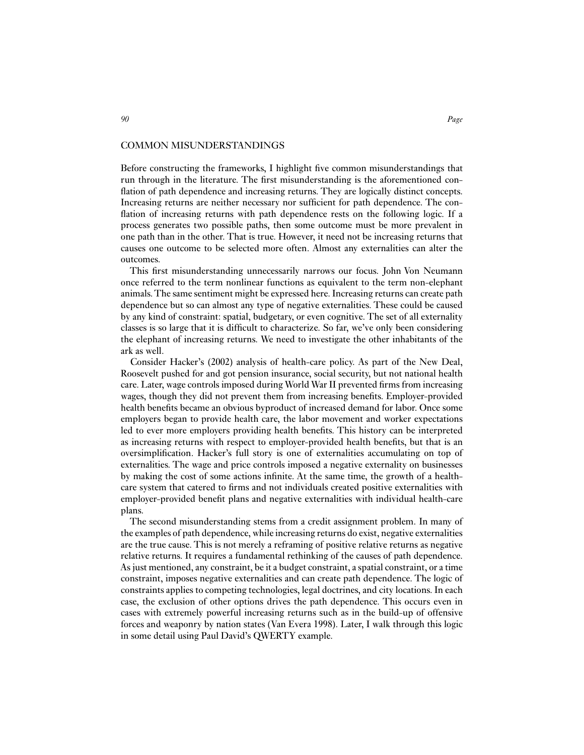#### COMMON MISUNDERSTANDINGS

Before constructing the frameworks, I highlight five common misunderstandings that run through in the literature. The first misunderstanding is the aforementioned conflation of path dependence and increasing returns. They are logically distinct concepts. Increasing returns are neither necessary nor sufficient for path dependence. The conflation of increasing returns with path dependence rests on the following logic. If a process generates two possible paths, then some outcome must be more prevalent in one path than in the other. That is true. However, it need not be increasing returns that causes one outcome to be selected more often. Almost any externalities can alter the outcomes.

This first misunderstanding unnecessarily narrows our focus. John Von Neumann once referred to the term nonlinear functions as equivalent to the term non-elephant animals.The same sentiment might be expressed here. Increasing returns can create path dependence but so can almost any type of negative externalities. These could be caused by any kind of constraint: spatial, budgetary, or even cognitive. The set of all externality classes is so large that it is difficult to characterize. So far, we've only been considering the elephant of increasing returns. We need to investigate the other inhabitants of the ark as well.

Consider Hacker's (2002) analysis of health-care policy. As part of the New Deal, Roosevelt pushed for and got pension insurance, social security, but not national health care. Later, wage controls imposed during World War II prevented firms from increasing wages, though they did not prevent them from increasing benefits. Employer-provided health benefits became an obvious byproduct of increased demand for labor. Once some employers began to provide health care, the labor movement and worker expectations led to ever more employers providing health benefits. This history can be interpreted as increasing returns with respect to employer-provided health benefits, but that is an oversimplification. Hacker's full story is one of externalities accumulating on top of externalities. The wage and price controls imposed a negative externality on businesses by making the cost of some actions infinite. At the same time, the growth of a healthcare system that catered to firms and not individuals created positive externalities with employer-provided benefit plans and negative externalities with individual health-care plans.

The second misunderstanding stems from a credit assignment problem. In many of the examples of path dependence, while increasing returns do exist, negative externalities are the true cause. This is not merely a reframing of positive relative returns as negative relative returns. It requires a fundamental rethinking of the causes of path dependence. As just mentioned, any constraint, be it a budget constraint, a spatial constraint, or a time constraint, imposes negative externalities and can create path dependence. The logic of constraints applies to competing technologies, legal doctrines, and city locations. In each case, the exclusion of other options drives the path dependence. This occurs even in cases with extremely powerful increasing returns such as in the build-up of offensive forces and weaponry by nation states (Van Evera 1998). Later, I walk through this logic in some detail using Paul David's QWERTY example.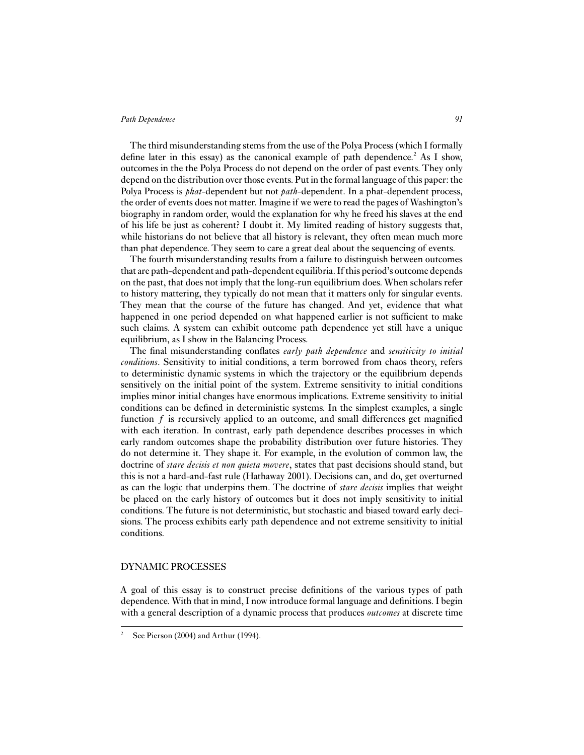The third misunderstanding stems from the use of the Polya Process (which I formally define later in this essay) as the canonical example of path dependence.<sup>2</sup> As I show, outcomes in the the Polya Process do not depend on the order of past events. They only depend on the distribution over those events. Put in the formal language of this paper: the Polya Process is *phat*-dependent but not *path*-dependent. In a phat-dependent process, the order of events does not matter. Imagine if we were to read the pages of Washington's biography in random order, would the explanation for why he freed his slaves at the end of his life be just as coherent? I doubt it. My limited reading of history suggests that, while historians do not believe that all history is relevant, they often mean much more than phat dependence. They seem to care a great deal about the sequencing of events.

The fourth misunderstanding results from a failure to distinguish between outcomes that are path-dependent and path-dependent equilibria. If this period's outcome depends on the past, that does not imply that the long-run equilibrium does. When scholars refer to history mattering, they typically do not mean that it matters only for singular events. They mean that the course of the future has changed. And yet, evidence that what happened in one period depended on what happened earlier is not sufficient to make such claims. A system can exhibit outcome path dependence yet still have a unique equilibrium, as I show in the Balancing Process.

The final misunderstanding conflates *early path dependence* and *sensitivity to initial conditions*. Sensitivity to initial conditions, a term borrowed from chaos theory, refers to deterministic dynamic systems in which the trajectory or the equilibrium depends sensitively on the initial point of the system. Extreme sensitivity to initial conditions implies minor initial changes have enormous implications. Extreme sensitivity to initial conditions can be defined in deterministic systems. In the simplest examples, a single function  $f$  is recursively applied to an outcome, and small differences get magnified with each iteration. In contrast, early path dependence describes processes in which early random outcomes shape the probability distribution over future histories. They do not determine it. They shape it. For example, in the evolution of common law, the doctrine of *stare decisis et non quieta movere*, states that past decisions should stand, but this is not a hard-and-fast rule (Hathaway 2001). Decisions can, and do, get overturned as can the logic that underpins them. The doctrine of *stare decisis* implies that weight be placed on the early history of outcomes but it does not imply sensitivity to initial conditions. The future is not deterministic, but stochastic and biased toward early decisions. The process exhibits early path dependence and not extreme sensitivity to initial conditions.

# DYNAMIC PROCESSES

A goal of this essay is to construct precise definitions of the various types of path dependence. With that in mind, I now introduce formal language and definitions. I begin with a general description of a dynamic process that produces *outcomes* at discrete time

See Pierson (2004) and Arthur (1994).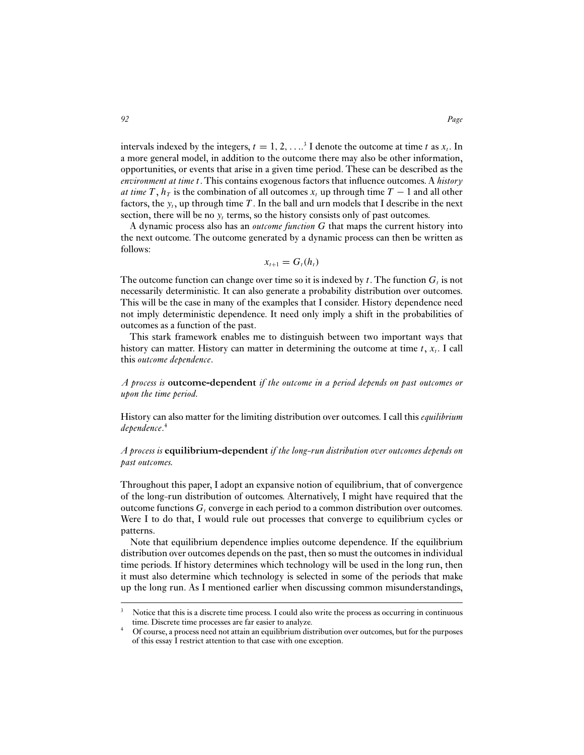intervals indexed by the integers,  $t = 1, 2, \ldots$ <sup>3</sup> I denote the outcome at time t as  $x_t$ . In a more general model, in addition to the outcome there may also be other information, opportunities, or events that arise in a given time period. These can be described as the *environment at time* t. This contains exogenous factors that influence outcomes. A *history at time*  $T$ ,  $h_T$  is the combination of all outcomes  $x_t$  up through time  $T - 1$  and all other factors, the  $y_t$ , up through time T. In the ball and urn models that I describe in the next section, there will be no  $y_t$  terms, so the history consists only of past outcomes.

A dynamic process also has an *outcome function* G that maps the current history into the next outcome. The outcome generated by a dynamic process can then be written as follows:

$$
x_{t+1}=G_t(h_t)
$$

The outcome function can change over time so it is indexed by t. The function  $G_t$  is not necessarily deterministic. It can also generate a probability distribution over outcomes. This will be the case in many of the examples that I consider. History dependence need not imply deterministic dependence. It need only imply a shift in the probabilities of outcomes as a function of the past.

This stark framework enables me to distinguish between two important ways that history can matter. History can matter in determining the outcome at time  $t$ ,  $x_t$ . I call this *outcome dependence*.

*A process is* **outcome-dependent** *if the outcome in a period depends on past outcomes or upon the time period.*

History can also matter for the limiting distribution over outcomes. I call this *equilibrium dependence*. 4

# *A process is* **equilibrium-dependent** *if the long-run distribution over outcomes depends on past outcomes.*

Throughout this paper, I adopt an expansive notion of equilibrium, that of convergence of the long-run distribution of outcomes. Alternatively, I might have required that the outcome functions  $G_t$  converge in each period to a common distribution over outcomes. Were I to do that, I would rule out processes that converge to equilibrium cycles or patterns.

Note that equilibrium dependence implies outcome dependence. If the equilibrium distribution over outcomes depends on the past, then so must the outcomes in individual time periods. If history determines which technology will be used in the long run, then it must also determine which technology is selected in some of the periods that make up the long run. As I mentioned earlier when discussing common misunderstandings,

Notice that this is a discrete time process. I could also write the process as occurring in continuous time. Discrete time processes are far easier to analyze.

<sup>4</sup> Of course, a process need not attain an equilibrium distribution over outcomes, but for the purposes of this essay I restrict attention to that case with one exception.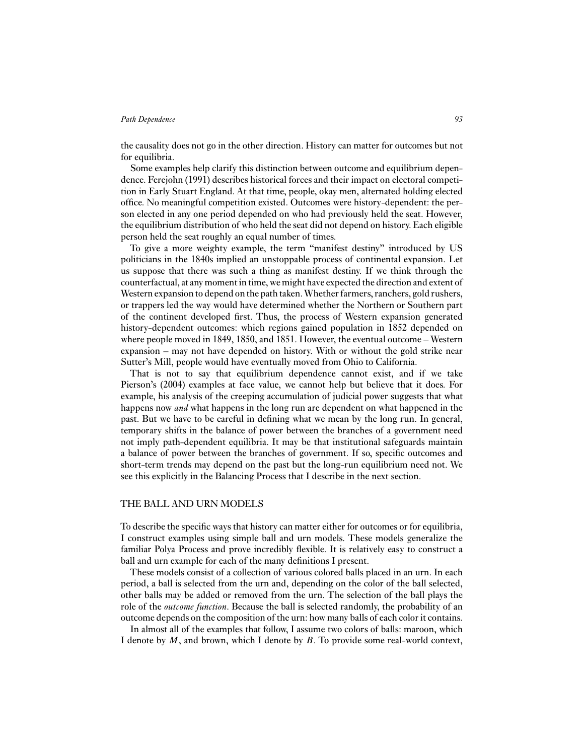the causality does not go in the other direction. History can matter for outcomes but not for equilibria.

Some examples help clarify this distinction between outcome and equilibrium dependence. Ferejohn (1991) describes historical forces and their impact on electoral competition in Early Stuart England. At that time, people, okay men, alternated holding elected office. No meaningful competition existed. Outcomes were history-dependent: the person elected in any one period depended on who had previously held the seat. However, the equilibrium distribution of who held the seat did not depend on history. Each eligible person held the seat roughly an equal number of times.

To give a more weighty example, the term "manifest destiny" introduced by US politicians in the 1840s implied an unstoppable process of continental expansion. Let us suppose that there was such a thing as manifest destiny. If we think through the counterfactual, at any moment in time, we might have expected the direction and extent of Western expansion to depend on the path taken.Whether farmers, ranchers, gold rushers, or trappers led the way would have determined whether the Northern or Southern part of the continent developed first. Thus, the process of Western expansion generated history-dependent outcomes: which regions gained population in 1852 depended on where people moved in 1849, 1850, and 1851. However, the eventual outcome – Western expansion – may not have depended on history. With or without the gold strike near Sutter's Mill, people would have eventually moved from Ohio to California.

That is not to say that equilibrium dependence cannot exist, and if we take Pierson's (2004) examples at face value, we cannot help but believe that it does. For example, his analysis of the creeping accumulation of judicial power suggests that what happens now *and* what happens in the long run are dependent on what happened in the past. But we have to be careful in defining what we mean by the long run. In general, temporary shifts in the balance of power between the branches of a government need not imply path-dependent equilibria. It may be that institutional safeguards maintain a balance of power between the branches of government. If so, specific outcomes and short-term trends may depend on the past but the long-run equilibrium need not. We see this explicitly in the Balancing Process that I describe in the next section.

#### THE BALL AND URN MODELS

To describe the specific ways that history can matter either for outcomes or for equilibria, I construct examples using simple ball and urn models. These models generalize the familiar Polya Process and prove incredibly flexible. It is relatively easy to construct a ball and urn example for each of the many definitions I present.

These models consist of a collection of various colored balls placed in an urn. In each period, a ball is selected from the urn and, depending on the color of the ball selected, other balls may be added or removed from the urn. The selection of the ball plays the role of the *outcome function*. Because the ball is selected randomly, the probability of an outcome depends on the composition of the urn: how many balls of each color it contains.

In almost all of the examples that follow, I assume two colors of balls: maroon, which I denote by  $M$ , and brown, which I denote by  $B$ . To provide some real-world context,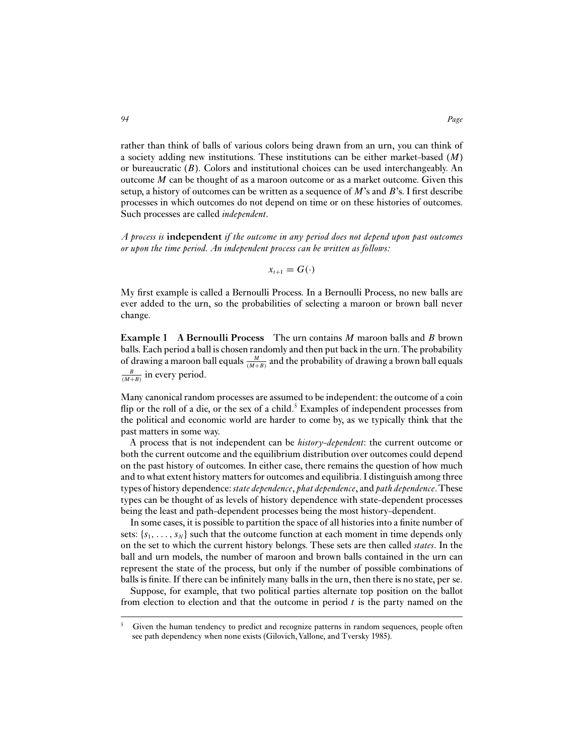rather than think of balls of various colors being drawn from an urn, you can think of a society adding new institutions. These institutions can be either market-based (M) or bureaucratic  $(B)$ . Colors and institutional choices can be used interchangeably. An outcome  $M$  can be thought of as a maroon outcome or as a market outcome. Given this setup, a history of outcomes can be written as a sequence of  $M$ 's and  $B$ 's. I first describe processes in which outcomes do not depend on time or on these histories of outcomes. Such processes are called *independent*.

*A process is* **independent** *if the outcome in any period does not depend upon past outcomes or upon the time period. An independent process can be written as follows:*

$$
x_{t+1}=G(\cdot)
$$

My first example is called a Bernoulli Process. In a Bernoulli Process, no new balls are ever added to the urn, so the probabilities of selecting a maroon or brown ball never change.

**Example 1** A Bernoulli Process The urn contains M maroon balls and B brown balls. Each period a ball is chosen randomly and then put back in the urn.The probability of drawing a maroon ball equals  $\frac{M}{(M+B)}$  and the probability of drawing a brown ball equals  $\frac{B}{(M+B)}$  in every period.

Many canonical random processes are assumed to be independent: the outcome of a coin flip or the roll of a die, or the sex of a child.<sup>5</sup> Examples of independent processes from the political and economic world are harder to come by, as we typically think that the past matters in some way.

A process that is not independent can be *history-dependent*: the current outcome or both the current outcome and the equilibrium distribution over outcomes could depend on the past history of outcomes. In either case, there remains the question of how much and to what extent history matters for outcomes and equilibria. I distinguish among three types of history dependence: *state dependence*, *phat dependence*, and *path dependence*.These types can be thought of as levels of history dependence with state-dependent processes being the least and path-dependent processes being the most history-dependent.

In some cases, it is possible to partition the space of all histories into a finite number of sets:  $\{s_1, \ldots, s_N\}$  such that the outcome function at each moment in time depends only on the set to which the current history belongs. These sets are then called *states*. In the ball and urn models, the number of maroon and brown balls contained in the urn can represent the state of the process, but only if the number of possible combinations of balls is finite. If there can be infinitely many balls in the urn, then there is no state, per se.

Suppose, for example, that two political parties alternate top position on the ballot from election to election and that the outcome in period  $t$  is the party named on the

 $5$  Given the human tendency to predict and recognize patterns in random sequences, people often see path dependency when none exists (Gilovich, Vallone, and Tversky 1985).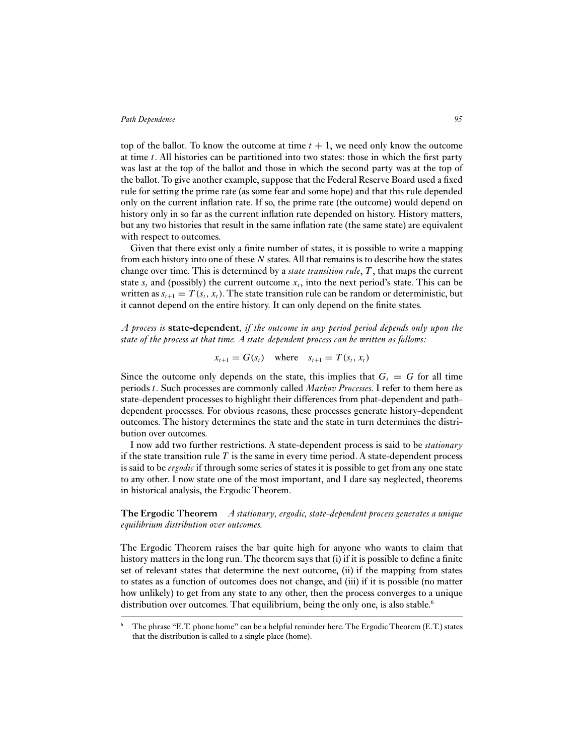top of the ballot. To know the outcome at time  $t + 1$ , we need only know the outcome at time  $t$ . All histories can be partitioned into two states: those in which the first party was last at the top of the ballot and those in which the second party was at the top of the ballot. To give another example, suppose that the Federal Reserve Board used a fixed rule for setting the prime rate (as some fear and some hope) and that this rule depended only on the current inflation rate. If so, the prime rate (the outcome) would depend on history only in so far as the current inflation rate depended on history. History matters, but any two histories that result in the same inflation rate (the same state) are equivalent with respect to outcomes.

Given that there exist only a finite number of states, it is possible to write a mapping from each history into one of these  $N$  states. All that remains is to describe how the states change over time. This is determined by a *state transition rule*, T , that maps the current state  $s_t$  and (possibly) the current outcome  $x_t$ , into the next period's state. This can be written as  $s_{t+1} = T(s_t, x_t)$ . The state transition rule can be random or deterministic, but it cannot depend on the entire history. It can only depend on the finite states.

*A process is* **state-dependent***, if the outcome in any period period depends only upon the state of the process at that time. A state-dependent process can be written as follows:*

$$
x_{t+1} = G(s_t) \quad \text{where} \quad s_{t+1} = T(s_t, x_t)
$$

Since the outcome only depends on the state, this implies that  $G_t = G$  for all time periods t. Such processes are commonly called *Markov Processes.* I refer to them here as state-dependent processes to highlight their differences from phat-dependent and pathdependent processes. For obvious reasons, these processes generate history-dependent outcomes. The history determines the state and the state in turn determines the distribution over outcomes.

I now add two further restrictions. A state-dependent process is said to be *stationary* if the state transition rule  $T$  is the same in every time period. A state-dependent process is said to be *ergodic* if through some series of states it is possible to get from any one state to any other. I now state one of the most important, and I dare say neglected, theorems in historical analysis, the Ergodic Theorem.

**The Ergodic Theorem** *A stationary, ergodic, state-dependent process generates a unique equilibrium distribution over outcomes.*

The Ergodic Theorem raises the bar quite high for anyone who wants to claim that history matters in the long run. The theorem says that (i) if it is possible to define a finite set of relevant states that determine the next outcome, (ii) if the mapping from states to states as a function of outcomes does not change, and (iii) if it is possible (no matter how unlikely) to get from any state to any other, then the process converges to a unique distribution over outcomes. That equilibrium, being the only one, is also stable.<sup>6</sup>

 $6$  The phrase "E.T. phone home" can be a helpful reminder here. The Ergodic Theorem (E.T.) states that the distribution is called to a single place (home).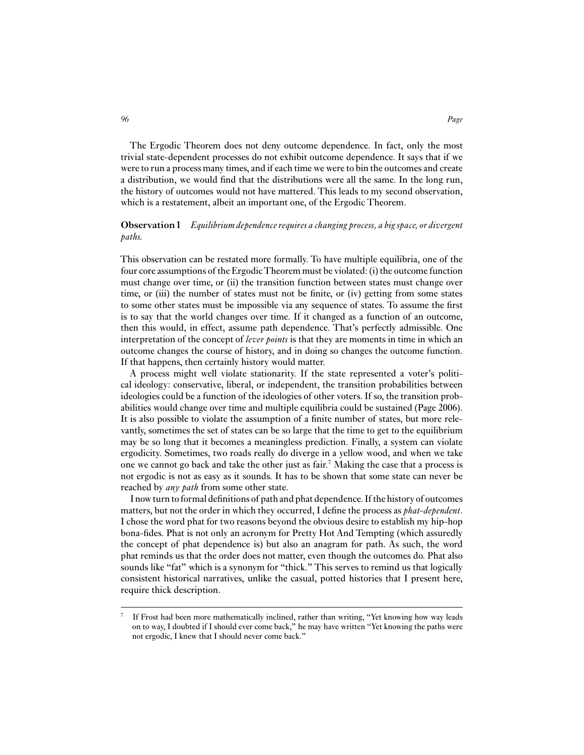The Ergodic Theorem does not deny outcome dependence. In fact, only the most trivial state-dependent processes do not exhibit outcome dependence. It says that if we were to run a process many times, and if each time we were to bin the outcomes and create a distribution, we would find that the distributions were all the same. In the long run, the history of outcomes would not have mattered. This leads to my second observation, which is a restatement, albeit an important one, of the Ergodic Theorem.

# **Observation 1** *Equilibrium dependence requires a changing process, a bigspace, or divergent paths.*

This observation can be restated more formally. To have multiple equilibria, one of the four core assumptions of the ErgodicTheorem must be violated: (i) the outcome function must change over time, or (ii) the transition function between states must change over time, or (iii) the number of states must not be finite, or (iv) getting from some states to some other states must be impossible via any sequence of states. To assume the first is to say that the world changes over time. If it changed as a function of an outcome, then this would, in effect, assume path dependence. That's perfectly admissible. One interpretation of the concept of *lever points* is that they are moments in time in which an outcome changes the course of history, and in doing so changes the outcome function. If that happens, then certainly history would matter.

A process might well violate stationarity. If the state represented a voter's political ideology: conservative, liberal, or independent, the transition probabilities between ideologies could be a function of the ideologies of other voters. If so, the transition probabilities would change over time and multiple equilibria could be sustained (Page 2006). It is also possible to violate the assumption of a finite number of states, but more relevantly, sometimes the set of states can be so large that the time to get to the equilibrium may be so long that it becomes a meaningless prediction. Finally, a system can violate ergodicity. Sometimes, two roads really do diverge in a yellow wood, and when we take one we cannot go back and take the other just as fair.7 Making the case that a process is not ergodic is not as easy as it sounds. It has to be shown that some state can never be reached by *any path* from some other state.

I now turn to formal definitions of path and phat dependence. If the history of outcomes matters, but not the order in which they occurred, I define the process as *phat-dependent*. I chose the word phat for two reasons beyond the obvious desire to establish my hip-hop bona-fides. Phat is not only an acronym for Pretty Hot And Tempting (which assuredly the concept of phat dependence is) but also an anagram for path. As such, the word phat reminds us that the order does not matter, even though the outcomes do. Phat also sounds like "fat" which is a synonym for "thick." This serves to remind us that logically consistent historical narratives, unlike the casual, potted histories that I present here, require thick description.

<sup>&</sup>lt;sup>7</sup> If Frost had been more mathematically inclined, rather than writing, "Yet knowing how way leads on to way, I doubted if I should ever come back," he may have written "Yet knowing the paths were not ergodic, I knew that I should never come back."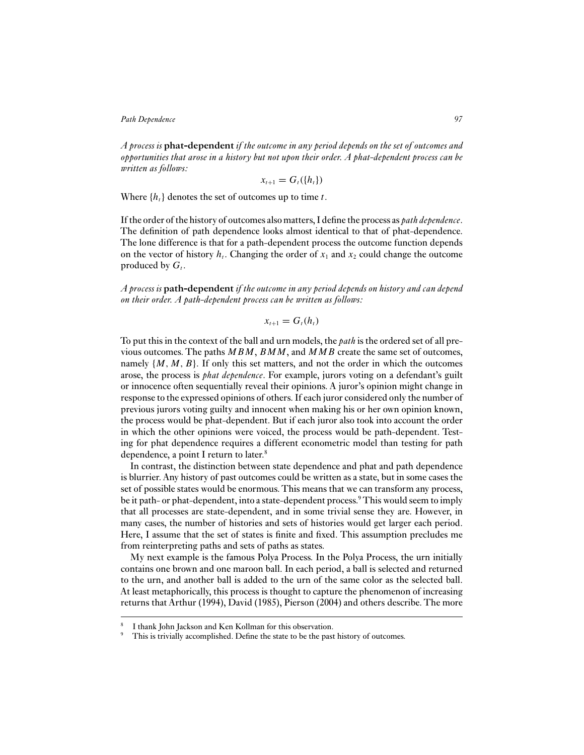*A process is* **phat-dependent** *if the outcome in any period depends on the set of outcomes and opportunities that arose in a history but not upon their order. A phat-dependent process can be written as follows:*

$$
x_{t+1}=G_t(\lbrace h_t \rbrace)
$$

Where  $\{h_t\}$  denotes the set of outcomes up to time t.

If the order of the history of outcomes also matters, I define the process as *path dependence*. The definition of path dependence looks almost identical to that of phat-dependence. The lone difference is that for a path-dependent process the outcome function depends on the vector of history  $h_t$ . Changing the order of  $x_1$  and  $x_2$  could change the outcome produced by  $G_t$ .

*A process is* **path-dependent** *if the outcome in any period depends on history and can depend on their order. A path-dependent process can be written as follows:*

 $x_{t+1} = G_t(h_t)$ 

To put this in the context of the ball and urn models, the *path* is the ordered set of all previous outcomes. The paths  $MBM$ ,  $BM$ , and  $MMB$  create the same set of outcomes, namely  $\{M, M, B\}$ . If only this set matters, and not the order in which the outcomes arose, the process is *phat dependence*. For example, jurors voting on a defendant's guilt or innocence often sequentially reveal their opinions. A juror's opinion might change in response to the expressed opinions of others. If each juror considered only the number of previous jurors voting guilty and innocent when making his or her own opinion known, the process would be phat-dependent. But if each juror also took into account the order in which the other opinions were voiced, the process would be path-dependent. Testing for phat dependence requires a different econometric model than testing for path dependence, a point I return to later.<sup>8</sup>

In contrast, the distinction between state dependence and phat and path dependence is blurrier. Any history of past outcomes could be written as a state, but in some cases the set of possible states would be enormous. This means that we can transform any process, be it path- or phat-dependent, into a state-dependent process.<sup>9</sup> This would seem to imply that all processes are state-dependent, and in some trivial sense they are. However, in many cases, the number of histories and sets of histories would get larger each period. Here, I assume that the set of states is finite and fixed. This assumption precludes me from reinterpreting paths and sets of paths as states.

My next example is the famous Polya Process. In the Polya Process, the urn initially contains one brown and one maroon ball. In each period, a ball is selected and returned to the urn, and another ball is added to the urn of the same color as the selected ball. At least metaphorically, this process is thought to capture the phenomenon of increasing returns that Arthur (1994), David (1985), Pierson (2004) and others describe. The more

I thank John Jackson and Ken Kollman for this observation.

This is trivially accomplished. Define the state to be the past history of outcomes.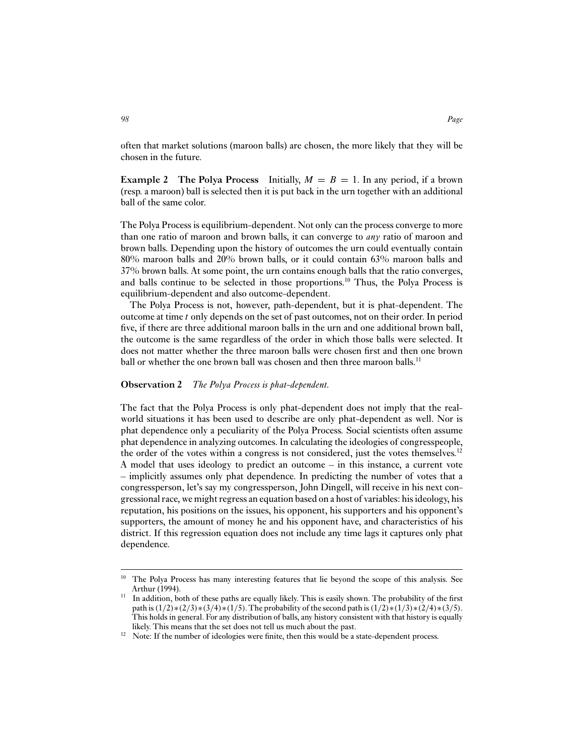often that market solutions (maroon balls) are chosen, the more likely that they will be chosen in the future.

**Example 2** The Polya Process Initially,  $M = B = 1$ . In any period, if a brown (resp. a maroon) ball is selected then it is put back in the urn together with an additional ball of the same color.

The Polya Process is equilibrium-dependent. Not only can the process converge to more than one ratio of maroon and brown balls, it can converge to *any* ratio of maroon and brown balls. Depending upon the history of outcomes the urn could eventually contain 80% maroon balls and 20% brown balls, or it could contain 63% maroon balls and 37% brown balls. At some point, the urn contains enough balls that the ratio converges, and balls continue to be selected in those proportions.<sup>10</sup> Thus, the Polya Process is equilibrium-dependent and also outcome-dependent.

The Polya Process is not, however, path-dependent, but it is phat-dependent. The outcome at time t only depends on the set of past outcomes, not on their order. In period five, if there are three additional maroon balls in the urn and one additional brown ball, the outcome is the same regardless of the order in which those balls were selected. It does not matter whether the three maroon balls were chosen first and then one brown ball or whether the one brown ball was chosen and then three maroon balls.<sup>11</sup>

#### **Observation 2** *The Polya Process is phat-dependent.*

The fact that the Polya Process is only phat-dependent does not imply that the realworld situations it has been used to describe are only phat-dependent as well. Nor is phat dependence only a peculiarity of the Polya Process. Social scientists often assume phat dependence in analyzing outcomes. In calculating the ideologies of congresspeople, the order of the votes within a congress is not considered, just the votes themselves.<sup>12</sup> A model that uses ideology to predict an outcome – in this instance, a current vote – implicitly assumes only phat dependence. In predicting the number of votes that a congressperson, let's say my congressperson, John Dingell, will receive in his next congressional race, we might regress an equation based on a host of variables: his ideology, his reputation, his positions on the issues, his opponent, his supporters and his opponent's supporters, the amount of money he and his opponent have, and characteristics of his district. If this regression equation does not include any time lags it captures only phat dependence.

<sup>&</sup>lt;sup>10</sup> The Polya Process has many interesting features that lie beyond the scope of this analysis. See Arthur (1994).

<sup>&</sup>lt;sup>11</sup> In addition, both of these paths are equally likely. This is easily shown. The probability of the first path is  $(1/2)*(2/3)*(3/4)*(1/5)$ . The probability of the second path is  $(1/2)*(1/3)*(2/4)*(3/5)$ . This holds in general. For any distribution of balls, any history consistent with that history is equally likely. This means that the set does not tell us much about the past.

<sup>&</sup>lt;sup>12</sup> Note: If the number of ideologies were finite, then this would be a state-dependent process.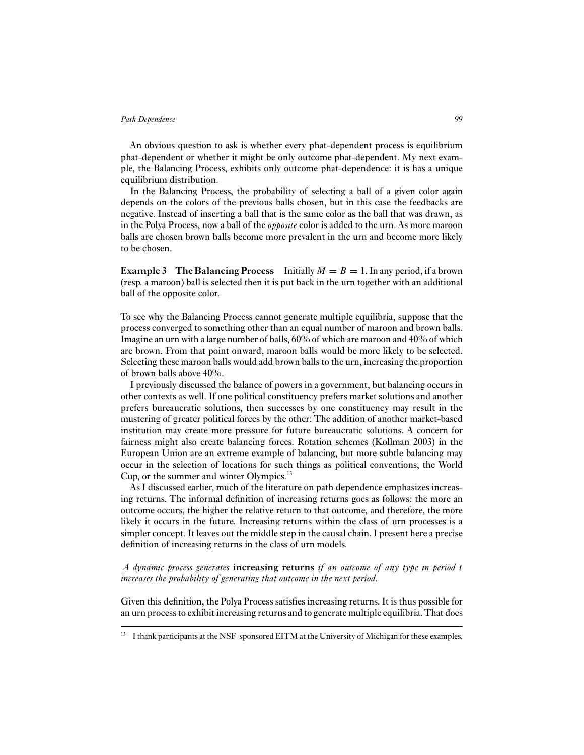An obvious question to ask is whether every phat-dependent process is equilibrium phat-dependent or whether it might be only outcome phat-dependent. My next example, the Balancing Process, exhibits only outcome phat-dependence: it is has a unique equilibrium distribution.

In the Balancing Process, the probability of selecting a ball of a given color again depends on the colors of the previous balls chosen, but in this case the feedbacks are negative. Instead of inserting a ball that is the same color as the ball that was drawn, as in the Polya Process, now a ball of the *opposite* color is added to the urn. As more maroon balls are chosen brown balls become more prevalent in the urn and become more likely to be chosen.

**Example 3** The Balancing Process Initially  $M = B = 1$ . In any period, if a brown (resp. a maroon) ball is selected then it is put back in the urn together with an additional ball of the opposite color.

To see why the Balancing Process cannot generate multiple equilibria, suppose that the process converged to something other than an equal number of maroon and brown balls. Imagine an urn with a large number of balls, 60% of which are maroon and 40% of which are brown. From that point onward, maroon balls would be more likely to be selected. Selecting these maroon balls would add brown balls to the urn, increasing the proportion of brown balls above 40%.

I previously discussed the balance of powers in a government, but balancing occurs in other contexts as well. If one political constituency prefers market solutions and another prefers bureaucratic solutions, then successes by one constituency may result in the mustering of greater political forces by the other: The addition of another market-based institution may create more pressure for future bureaucratic solutions. A concern for fairness might also create balancing forces. Rotation schemes (Kollman 2003) in the European Union are an extreme example of balancing, but more subtle balancing may occur in the selection of locations for such things as political conventions, the World Cup, or the summer and winter Olympics.<sup>13</sup>

As I discussed earlier, much of the literature on path dependence emphasizes increasing returns. The informal definition of increasing returns goes as follows: the more an outcome occurs, the higher the relative return to that outcome, and therefore, the more likely it occurs in the future. Increasing returns within the class of urn processes is a simpler concept. It leaves out the middle step in the causal chain. I present here a precise definition of increasing returns in the class of urn models.

*A dynamic process generates* **increasing returns** *if an outcome of any type in period* t *increases the probability of generating that outcome in the next period.*

Given this definition, the Polya Process satisfies increasing returns. It is thus possible for an urn process to exhibit increasing returns and to generate multiple equilibria.That does

<sup>&</sup>lt;sup>13</sup> I thank participants at the NSF-sponsored EITM at the University of Michigan for these examples.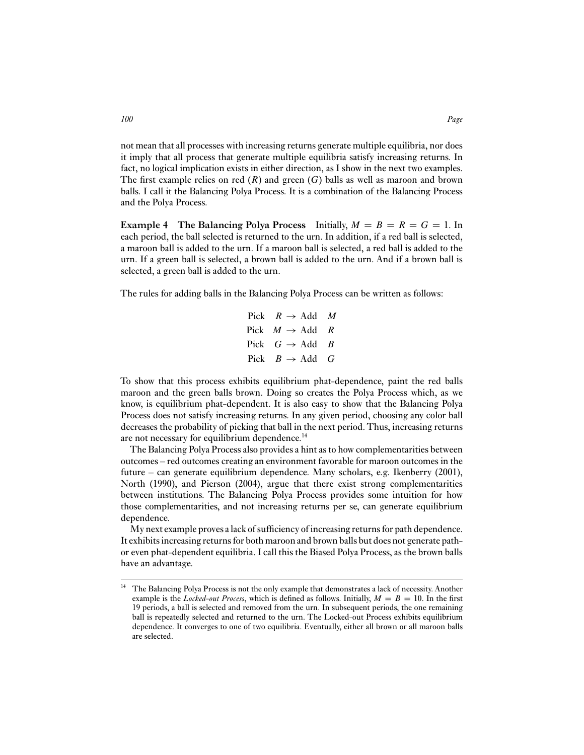not mean that all processes with increasing returns generate multiple equilibria, nor does it imply that all process that generate multiple equilibria satisfy increasing returns. In fact, no logical implication exists in either direction, as I show in the next two examples. The first example relies on red  $(R)$  and green  $(G)$  balls as well as maroon and brown balls. I call it the Balancing Polya Process. It is a combination of the Balancing Process and the Polya Process.

**Example 4** The Balancing Polya Process Initially,  $M = B = R = G = 1$ . In each period, the ball selected is returned to the urn. In addition, if a red ball is selected, a maroon ball is added to the urn. If a maroon ball is selected, a red ball is added to the urn. If a green ball is selected, a brown ball is added to the urn. And if a brown ball is selected, a green ball is added to the urn.

The rules for adding balls in the Balancing Polya Process can be written as follows:

Pick  $R \rightarrow$  Add M Pick  $M \rightarrow$  Add R Pick  $G \rightarrow \text{Add } B$ Pick  $B \rightarrow$  Add G

To show that this process exhibits equilibrium phat-dependence, paint the red balls maroon and the green balls brown. Doing so creates the Polya Process which, as we know, is equilibrium phat-dependent. It is also easy to show that the Balancing Polya Process does not satisfy increasing returns. In any given period, choosing any color ball decreases the probability of picking that ball in the next period. Thus, increasing returns are not necessary for equilibrium dependence.14

The Balancing Polya Process also provides a hint as to how complementarities between outcomes – red outcomes creating an environment favorable for maroon outcomes in the future – can generate equilibrium dependence. Many scholars, e.g. Ikenberry (2001), North (1990), and Pierson (2004), argue that there exist strong complementarities between institutions. The Balancing Polya Process provides some intuition for how those complementarities, and not increasing returns per se, can generate equilibrium dependence.

My next example proves a lack of sufficiency of increasing returns for path dependence. It exhibits increasing returns for both maroon and brown balls but does not generate pathor even phat-dependent equilibria. I call this the Biased Polya Process, as the brown balls have an advantage.

<sup>&</sup>lt;sup>14</sup> The Balancing Polya Process is not the only example that demonstrates a lack of necessity. Another example is the *Locked-out Process*, which is defined as follows. Initially,  $M = B = 10$ . In the first 19 periods, a ball is selected and removed from the urn. In subsequent periods, the one remaining ball is repeatedly selected and returned to the urn. The Locked-out Process exhibits equilibrium dependence. It converges to one of two equilibria. Eventually, either all brown or all maroon balls are selected.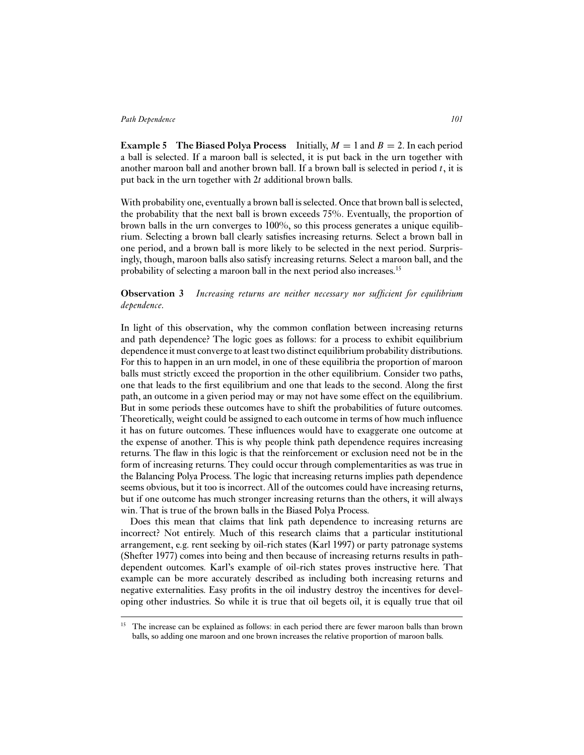**Example 5 The Biased Polya Process** Initially,  $M = 1$  and  $B = 2$ . In each period a ball is selected. If a maroon ball is selected, it is put back in the urn together with another maroon ball and another brown ball. If a brown ball is selected in period  $t$ , it is put back in the urn together with 2t additional brown balls.

With probability one, eventually a brown ball is selected. Once that brown ball is selected, the probability that the next ball is brown exceeds 75%. Eventually, the proportion of brown balls in the urn converges to 100%, so this process generates a unique equilibrium. Selecting a brown ball clearly satisfies increasing returns. Select a brown ball in one period, and a brown ball is more likely to be selected in the next period. Surprisingly, though, maroon balls also satisfy increasing returns. Select a maroon ball, and the probability of selecting a maroon ball in the next period also increases.15

# **Observation 3** *Increasing returns are neither necessary nor sufficient for equilibrium dependence.*

In light of this observation, why the common conflation between increasing returns and path dependence? The logic goes as follows: for a process to exhibit equilibrium dependence it must converge to at least two distinct equilibrium probability distributions. For this to happen in an urn model, in one of these equilibria the proportion of maroon balls must strictly exceed the proportion in the other equilibrium. Consider two paths, one that leads to the first equilibrium and one that leads to the second. Along the first path, an outcome in a given period may or may not have some effect on the equilibrium. But in some periods these outcomes have to shift the probabilities of future outcomes. Theoretically, weight could be assigned to each outcome in terms of how much influence it has on future outcomes. These influences would have to exaggerate one outcome at the expense of another. This is why people think path dependence requires increasing returns. The flaw in this logic is that the reinforcement or exclusion need not be in the form of increasing returns. They could occur through complementarities as was true in the Balancing Polya Process. The logic that increasing returns implies path dependence seems obvious, but it too is incorrect. All of the outcomes could have increasing returns, but if one outcome has much stronger increasing returns than the others, it will always win. That is true of the brown balls in the Biased Polya Process.

Does this mean that claims that link path dependence to increasing returns are incorrect? Not entirely. Much of this research claims that a particular institutional arrangement, e.g. rent seeking by oil-rich states (Karl 1997) or party patronage systems (Shefter 1977) comes into being and then because of increasing returns results in pathdependent outcomes. Karl's example of oil-rich states proves instructive here. That example can be more accurately described as including both increasing returns and negative externalities. Easy profits in the oil industry destroy the incentives for developing other industries. So while it is true that oil begets oil, it is equally true that oil

<sup>&</sup>lt;sup>15</sup> The increase can be explained as follows: in each period there are fewer maroon balls than brown balls, so adding one maroon and one brown increases the relative proportion of maroon balls.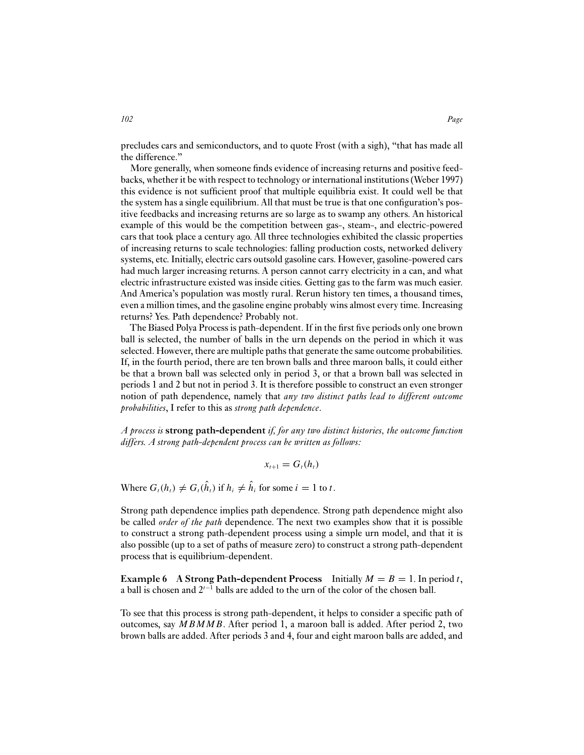precludes cars and semiconductors, and to quote Frost (with a sigh), "that has made all the difference."

More generally, when someone finds evidence of increasing returns and positive feedbacks, whether it be with respect to technology or international institutions (Weber 1997) this evidence is not sufficient proof that multiple equilibria exist. It could well be that the system has a single equilibrium. All that must be true is that one configuration's positive feedbacks and increasing returns are so large as to swamp any others. An historical example of this would be the competition between gas-, steam-, and electric-powered cars that took place a century ago. All three technologies exhibited the classic properties of increasing returns to scale technologies: falling production costs, networked delivery systems, etc. Initially, electric cars outsold gasoline cars. However, gasoline-powered cars had much larger increasing returns. A person cannot carry electricity in a can, and what electric infrastructure existed was inside cities. Getting gas to the farm was much easier. And America's population was mostly rural. Rerun history ten times, a thousand times, even a million times, and the gasoline engine probably wins almost every time. Increasing returns? Yes. Path dependence? Probably not.

The Biased Polya Process is path-dependent. If in the first five periods only one brown ball is selected, the number of balls in the urn depends on the period in which it was selected. However, there are multiple paths that generate the same outcome probabilities. If, in the fourth period, there are ten brown balls and three maroon balls, it could either be that a brown ball was selected only in period 3, or that a brown ball was selected in periods 1 and 2 but not in period 3. It is therefore possible to construct an even stronger notion of path dependence, namely that *any two distinct paths lead to different outcome probabilities*, I refer to this as *strong path dependence*.

*A process is* **strong path-dependent** *if, for any two distinct histories, the outcome function differs. A strong path-dependent process can be written as follows:*

$$
x_{t+1}=G_t(h_t)
$$

Where  $G_t(h_t) \neq G_t(\hat{h}_t)$  if  $h_i \neq \hat{h}_i$  for some  $i = 1$  to t.

Strong path dependence implies path dependence. Strong path dependence might also be called *order of the path* dependence. The next two examples show that it is possible to construct a strong path-dependent process using a simple urn model, and that it is also possible (up to a set of paths of measure zero) to construct a strong path-dependent process that is equilibrium-dependent.

**Example 6** A Strong Path-dependent Process Initially  $M = B = 1$ . In period t, a ball is chosen and  $2^{t-1}$  balls are added to the urn of the color of the chosen ball.

To see that this process is strong path-dependent, it helps to consider a specific path of outcomes, say MBMMB. After period 1, a maroon ball is added. After period 2, two brown balls are added. After periods 3 and 4, four and eight maroon balls are added, and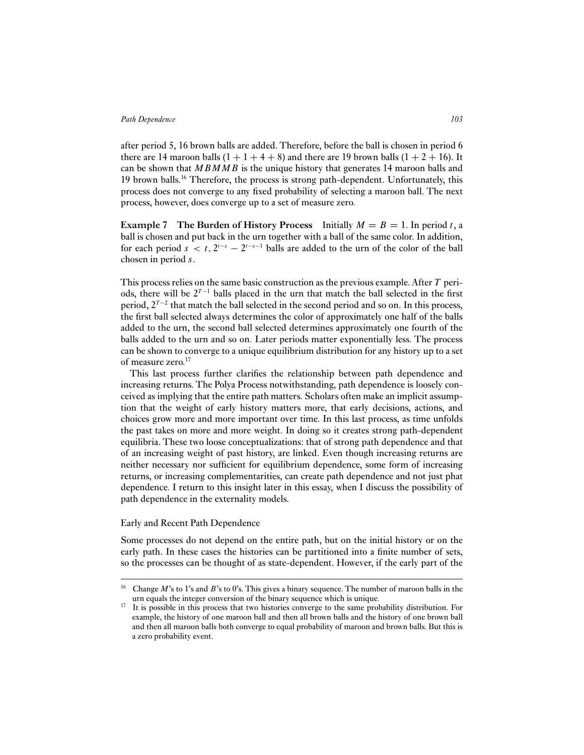after period 5, 16 brown balls are added. Therefore, before the ball is chosen in period 6 there are 14 maroon balls  $(1 + 1 + 4 + 8)$  and there are 19 brown balls  $(1 + 2 + 16)$ . It can be shown that  $MBMMB$  is the unique history that generates 14 maroon balls and 19 brown balls.16 Therefore, the process is strong path-dependent. Unfortunately, this process does not converge to any fixed probability of selecting a maroon ball. The next process, however, does converge up to a set of measure zero.

**Example 7** The Burden of History Process Initially  $M = B = 1$ . In period t, a ball is chosen and put back in the urn together with a ball of the same color. In addition, for each period  $s < t$ ,  $2^{t-s} - 2^{t-s-1}$  balls are added to the urn of the color of the ball chosen in period s.

This process relies on the same basic construction as the previous example. After  $T$  periods, there will be  $2^{T-1}$  balls placed in the urn that match the ball selected in the first period,  $2^{T-2}$  that match the ball selected in the second period and so on. In this process, the first ball selected always determines the color of approximately one half of the balls added to the urn, the second ball selected determines approximately one fourth of the balls added to the urn and so on. Later periods matter exponentially less. The process can be shown to converge to a unique equilibrium distribution for any history up to a set of measure zero.<sup>17</sup>

This last process further clarifies the relationship between path dependence and increasing returns. The Polya Process notwithstanding, path dependence is loosely conceived as implying that the entire path matters. Scholars often make an implicit assumption that the weight of early history matters more, that early decisions, actions, and choices grow more and more important over time. In this last process, as time unfolds the past takes on more and more weight. In doing so it creates strong path-dependent equilibria. These two loose conceptualizations: that of strong path dependence and that of an increasing weight of past history, are linked. Even though increasing returns are neither necessary nor sufficient for equilibrium dependence, some form of increasing returns, or increasing complementarities, can create path dependence and not just phat dependence. I return to this insight later in this essay, when I discuss the possibility of path dependence in the externality models.

#### Early and Recent Path Dependence

Some processes do not depend on the entire path, but on the initial history or on the early path. In these cases the histories can be partitioned into a finite number of sets, so the processes can be thought of as state-dependent. However, if the early part of the

<sup>&</sup>lt;sup>16</sup> Change M's to 1's and B's to 0's. This gives a binary sequence. The number of maroon balls in the urn equals the integer conversion of the binary sequence which is unique.

<sup>&</sup>lt;sup>17</sup> It is possible in this process that two histories converge to the same probability distribution. For example, the history of one maroon ball and then all brown balls and the history of one brown ball and then all maroon balls both converge to equal probability of maroon and brown balls. But this is a zero probability event.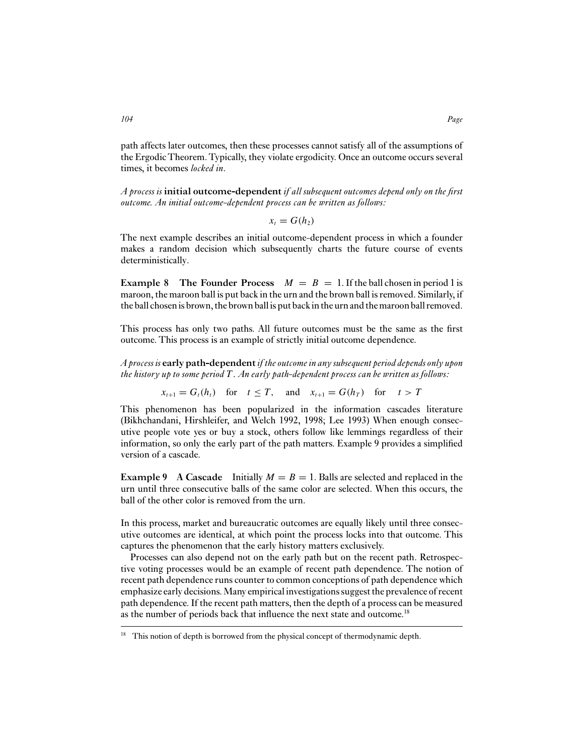path affects later outcomes, then these processes cannot satisfy all of the assumptions of the Ergodic Theorem. Typically, they violate ergodicity. Once an outcome occurs several times, it becomes *locked in*.

*A process is* **initial outcome-dependent** *if all subsequent outcomes depend only on the first outcome. An initial outcome-dependent process can be written as follows:*

$$
x_t = G(h_2)
$$

The next example describes an initial outcome-dependent process in which a founder makes a random decision which subsequently charts the future course of events deterministically.

**Example 8** The Founder Process  $M = B = 1$ . If the ball chosen in period 1 is maroon, the maroon ball is put back in the urn and the brown ball is removed. Similarly, if the ball chosenis brown, the brown ballis put backin the urn and themaroon ball removed.

This process has only two paths. All future outcomes must be the same as the first outcome. This process is an example of strictly initial outcome dependence.

*A process is* **early path-dependent***if the outcome in any subsequent period depends only upon the history up to some period* T *. An early path-dependent process can be written as follows:*

 $x_{t+1} = G_t(h_t)$  for  $t \leq T$ , and  $x_{t+1} = G(h_T)$  for  $t > T$ 

This phenomenon has been popularized in the information cascades literature (Bikhchandani, Hirshleifer, and Welch 1992, 1998; Lee 1993) When enough consecutive people vote yes or buy a stock, others follow like lemmings regardless of their information, so only the early part of the path matters. Example 9 provides a simplified version of a cascade.

**Example 9** A Cascade Initially  $M = B = 1$ . Balls are selected and replaced in the urn until three consecutive balls of the same color are selected. When this occurs, the ball of the other color is removed from the urn.

In this process, market and bureaucratic outcomes are equally likely until three consecutive outcomes are identical, at which point the process locks into that outcome. This captures the phenomenon that the early history matters exclusively.

Processes can also depend not on the early path but on the recent path. Retrospective voting processes would be an example of recent path dependence. The notion of recent path dependence runs counter to common conceptions of path dependence which emphasize early decisions.Many empirical investigations suggest the prevalence of recent path dependence. If the recent path matters, then the depth of a process can be measured as the number of periods back that influence the next state and outcome.<sup>18</sup>

<sup>&</sup>lt;sup>18</sup> This notion of depth is borrowed from the physical concept of thermodynamic depth.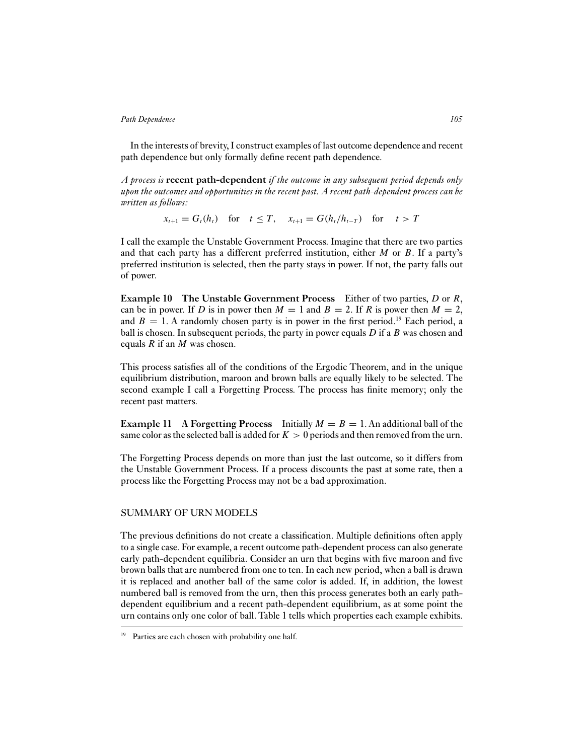In the interests of brevity, I construct examples of last outcome dependence and recent path dependence but only formally define recent path dependence.

*A process is* **recent path-dependent** *if the outcome in any subsequent period depends only upon the outcomes and opportunities in the recent past. A recent path-dependent process can be written as follows:*

 $x_{t+1} = G_t(h_t)$  for  $t < T$ ,  $x_{t+1} = G(h_t/h_{t-T})$  for  $t > T$ 

I call the example the Unstable Government Process. Imagine that there are two parties and that each party has a different preferred institution, either  $M$  or  $B$ . If a party's preferred institution is selected, then the party stays in power. If not, the party falls out of power.

**Example 10 The Unstable Government Process** Either of two parties, D or R, can be in power. If D is in power then  $M = 1$  and  $B = 2$ . If R is power then  $M = 2$ , and  $B = 1$ . A randomly chosen party is in power in the first period.<sup>19</sup> Each period, a ball is chosen. In subsequent periods, the party in power equals  $D$  if a  $B$  was chosen and equals  $R$  if an  $M$  was chosen.

This process satisfies all of the conditions of the Ergodic Theorem, and in the unique equilibrium distribution, maroon and brown balls are equally likely to be selected. The second example I call a Forgetting Process. The process has finite memory; only the recent past matters.

**Example 11** A Forgetting Process Initially  $M = B = 1$ . An additional ball of the same color as the selected ball is added for  $K > 0$  periods and then removed from the urn.

The Forgetting Process depends on more than just the last outcome, so it differs from the Unstable Government Process. If a process discounts the past at some rate, then a process like the Forgetting Process may not be a bad approximation.

#### SUMMARY OF URN MODELS

The previous definitions do not create a classification. Multiple definitions often apply to a single case. For example, a recent outcome path-dependent process can also generate early path-dependent equilibria. Consider an urn that begins with five maroon and five brown balls that are numbered from one to ten. In each new period, when a ball is drawn it is replaced and another ball of the same color is added. If, in addition, the lowest numbered ball is removed from the urn, then this process generates both an early pathdependent equilibrium and a recent path-dependent equilibrium, as at some point the urn contains only one color of ball. Table 1 tells which properties each example exhibits.

<sup>&</sup>lt;sup>19</sup> Parties are each chosen with probability one half.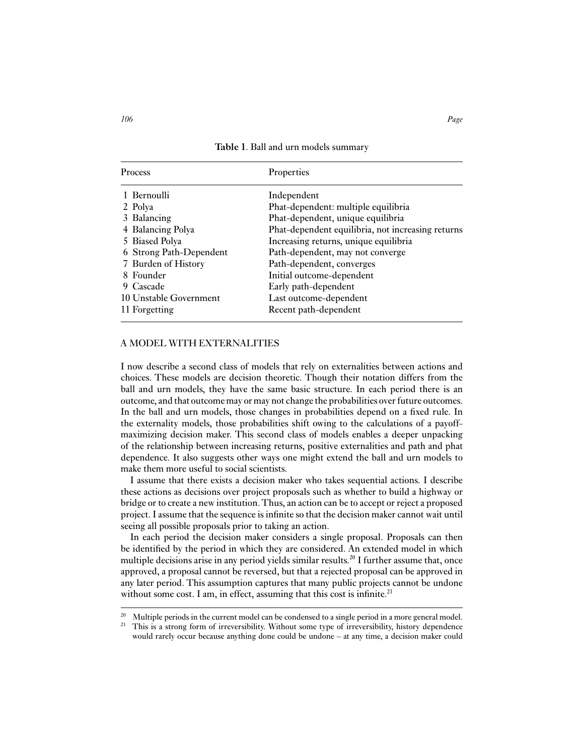**Table 1**. Ball and urn models summary

| <b>Process</b>          | Properties                                        |
|-------------------------|---------------------------------------------------|
| 1 Bernoulli             | Independent                                       |
| 2 Polya                 | Phat-dependent: multiple equilibria               |
| 3 Balancing             | Phat-dependent, unique equilibria                 |
| 4 Balancing Polya       | Phat-dependent equilibria, not increasing returns |
| 5 Biased Polya          | Increasing returns, unique equilibria             |
| 6 Strong Path-Dependent | Path-dependent, may not converge                  |
| 7 Burden of History     | Path-dependent, converges                         |
| 8 Founder               | Initial outcome-dependent                         |
| 9 Cascade               | Early path-dependent                              |
| 10 Unstable Government  | Last outcome-dependent                            |
| 11 Forgetting           | Recent path-dependent                             |

## A MODEL WITH EXTERNALITIES

I now describe a second class of models that rely on externalities between actions and choices. These models are decision theoretic. Though their notation differs from the ball and urn models, they have the same basic structure. In each period there is an outcome, and that outcome may or may not change the probabilities over future outcomes. In the ball and urn models, those changes in probabilities depend on a fixed rule. In the externality models, those probabilities shift owing to the calculations of a payoffmaximizing decision maker. This second class of models enables a deeper unpacking of the relationship between increasing returns, positive externalities and path and phat dependence. It also suggests other ways one might extend the ball and urn models to make them more useful to social scientists.

I assume that there exists a decision maker who takes sequential actions. I describe these actions as decisions over project proposals such as whether to build a highway or bridge or to create a new institution. Thus, an action can be to accept or reject a proposed project. I assume that the sequence is infinite so that the decision maker cannot wait until seeing all possible proposals prior to taking an action.

In each period the decision maker considers a single proposal. Proposals can then be identified by the period in which they are considered. An extended model in which multiple decisions arise in any period yields similar results.<sup>20</sup> I further assume that, once approved, a proposal cannot be reversed, but that a rejected proposal can be approved in any later period. This assumption captures that many public projects cannot be undone without some cost. I am, in effect, assuming that this cost is infinite. $21$ 

<sup>&</sup>lt;sup>20</sup> Multiple periods in the current model can be condensed to a single period in a more general model.<br><sup>21</sup> This is a strong form of irrovassibility. Without some type of irrovassibility, bistory dependence.

<sup>21</sup> This is a strong form of irreversibility. Without some type of irreversibility, history dependence would rarely occur because anything done could be undone – at any time, a decision maker could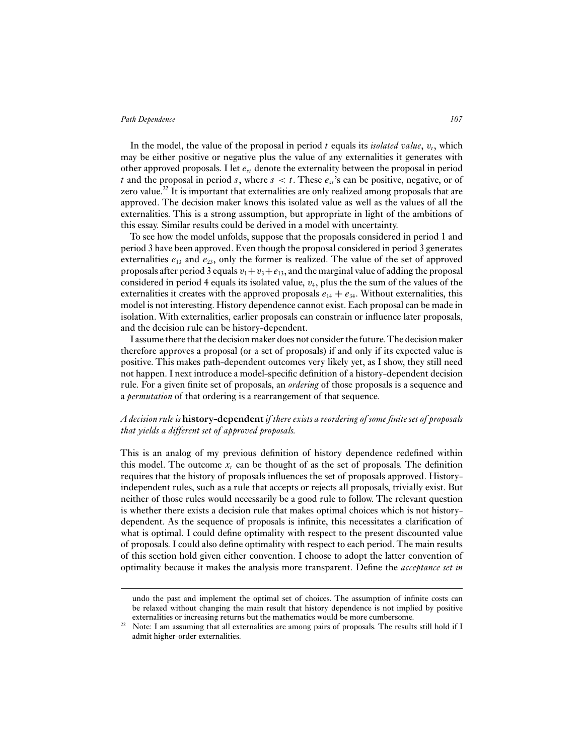In the model, the value of the proposal in period  $t$  equals its *isolated value*,  $v_t$ , which may be either positive or negative plus the value of any externalities it generates with other approved proposals. I let  $e_{st}$  denote the externality between the proposal in period t and the proposal in period s, where  $s < t$ . These  $e_{st}$ 's can be positive, negative, or of zero value.<sup>22</sup> It is important that externalities are only realized among proposals that are approved. The decision maker knows this isolated value as well as the values of all the externalities. This is a strong assumption, but appropriate in light of the ambitions of this essay. Similar results could be derived in a model with uncertainty.

To see how the model unfolds, suppose that the proposals considered in period 1 and period 3 have been approved. Even though the proposal considered in period 3 generates externalities  $e_{13}$  and  $e_{23}$ , only the former is realized. The value of the set of approved proposals after period 3 equals  $v_1+v_3+e_{13}$ , and the marginal value of adding the proposal considered in period 4 equals its isolated value,  $v_4$ , plus the the sum of the values of the externalities it creates with the approved proposals  $e_{14} + e_{34}$ . Without externalities, this model is not interesting. History dependence cannot exist. Each proposal can be made in isolation. With externalities, earlier proposals can constrain or influence later proposals, and the decision rule can be history-dependent.

I assume there that the decision maker does not consider the future.The decision maker therefore approves a proposal (or a set of proposals) if and only if its expected value is positive. This makes path-dependent outcomes very likely yet, as I show, they still need not happen. I next introduce a model-specific definition of a history-dependent decision rule. For a given finite set of proposals, an *ordering* of those proposals is a sequence and a *permutation* of that ordering is a rearrangement of that sequence.

# *A decision rule is* **history-dependent***if there exists a reordering of some finite set of proposals that yields a different set of approved proposals.*

This is an analog of my previous definition of history dependence redefined within this model. The outcome  $x_t$  can be thought of as the set of proposals. The definition requires that the history of proposals influences the set of proposals approved. Historyindependent rules, such as a rule that accepts or rejects all proposals, trivially exist. But neither of those rules would necessarily be a good rule to follow. The relevant question is whether there exists a decision rule that makes optimal choices which is not historydependent. As the sequence of proposals is infinite, this necessitates a clarification of what is optimal. I could define optimality with respect to the present discounted value of proposals. I could also define optimality with respect to each period. The main results of this section hold given either convention. I choose to adopt the latter convention of optimality because it makes the analysis more transparent. Define the *acceptance set in*

undo the past and implement the optimal set of choices. The assumption of infinite costs can be relaxed without changing the main result that history dependence is not implied by positive externalities or increasing returns but the mathematics would be more cumbersome.

 $22$  Note: I am assuming that all externalities are among pairs of proposals. The results still hold if I admit higher-order externalities.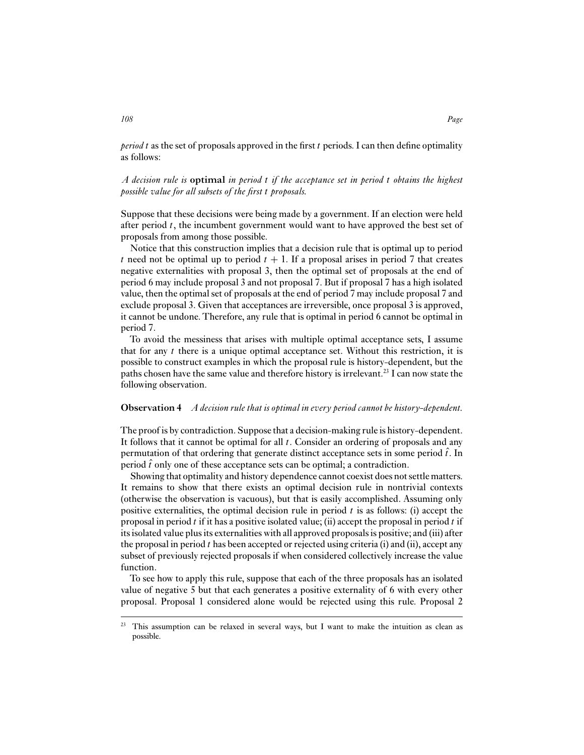*period* t as the set of proposals approved in the first t periods. I can then define optimality as follows:

*A decision rule is* **optimal** *in period* t *if the acceptance set in period* t *obtains the highest possible value for all subsets of the first* t *proposals.*

Suppose that these decisions were being made by a government. If an election were held after period  $t$ , the incumbent government would want to have approved the best set of proposals from among those possible.

Notice that this construction implies that a decision rule that is optimal up to period t need not be optimal up to period  $t + 1$ . If a proposal arises in period 7 that creates negative externalities with proposal 3, then the optimal set of proposals at the end of period 6 may include proposal 3 and not proposal 7. But if proposal 7 has a high isolated value, then the optimal set of proposals at the end of period 7 may include proposal 7 and exclude proposal 3. Given that acceptances are irreversible, once proposal 3 is approved, it cannot be undone. Therefore, any rule that is optimal in period 6 cannot be optimal in period 7.

To avoid the messiness that arises with multiple optimal acceptance sets, I assume that for any  $t$  there is a unique optimal acceptance set. Without this restriction, it is possible to construct examples in which the proposal rule is history-dependent, but the paths chosen have the same value and therefore history is irrelevant.<sup>23</sup> I can now state the following observation.

# **Observation 4** *A decision rule that is optimal in every period cannot be history-dependent.*

The proof is by contradiction. Suppose that a decision-making rule is history-dependent. It follows that it cannot be optimal for all  $t$ . Consider an ordering of proposals and any permutation of that ordering that generate distinct acceptance sets in some period  $\hat{t}$ . In period  $\hat{t}$  only one of these acceptance sets can be optimal; a contradiction.

Showing that optimality and history dependence cannot coexist does not settle matters. It remains to show that there exists an optimal decision rule in nontrivial contexts (otherwise the observation is vacuous), but that is easily accomplished. Assuming only positive externalities, the optimal decision rule in period  $t$  is as follows: (i) accept the proposal in period  $t$  if it has a positive isolated value; (ii) accept the proposal in period  $t$  if its isolated value plus its externalities with all approved proposals is positive; and (iii) after the proposal in period  $t$  has been accepted or rejected using criteria (i) and (ii), accept any subset of previously rejected proposals if when considered collectively increase the value function.

To see how to apply this rule, suppose that each of the three proposals has an isolated value of negative 5 but that each generates a positive externality of 6 with every other proposal. Proposal 1 considered alone would be rejected using this rule. Proposal 2

 $23$  This assumption can be relaxed in several ways, but I want to make the intuition as clean as possible.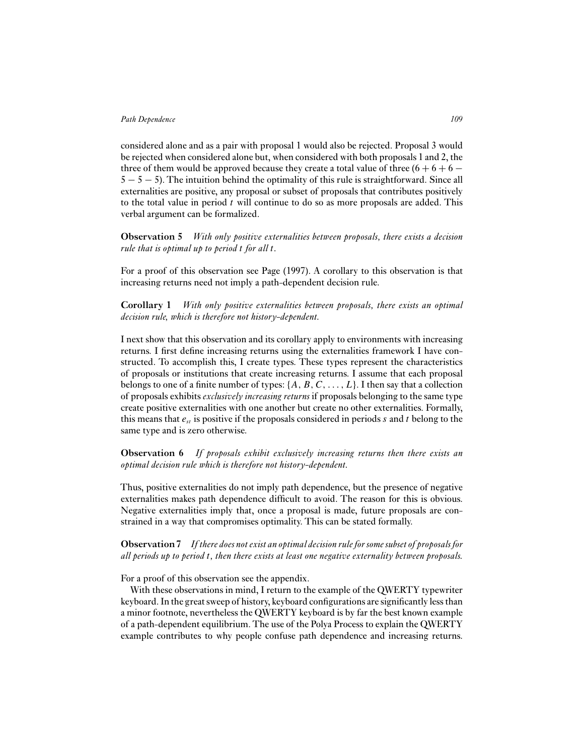considered alone and as a pair with proposal 1 would also be rejected. Proposal 3 would be rejected when considered alone but, when considered with both proposals 1 and 2, the three of them would be approved because they create a total value of three  $(6 + 6 + 6 5 - 5 - 5$ ). The intuition behind the optimality of this rule is straightforward. Since all externalities are positive, any proposal or subset of proposals that contributes positively to the total value in period  $t$  will continue to do so as more proposals are added. This verbal argument can be formalized.

**Observation 5** *With only positive externalities between proposals, there exists a decision rule that is optimal up to period* t *for all* t*.*

For a proof of this observation see Page (1997). A corollary to this observation is that increasing returns need not imply a path-dependent decision rule.

**Corollary 1** *With only positive externalities between proposals, there exists an optimal decision rule, which is therefore not history-dependent.*

I next show that this observation and its corollary apply to environments with increasing returns. I first define increasing returns using the externalities framework I have constructed. To accomplish this, I create types. These types represent the characteristics of proposals or institutions that create increasing returns. I assume that each proposal belongs to one of a finite number of types:  $\{A, B, C, \ldots, L\}$ . I then say that a collection of proposals exhibits *exclusively increasing returns* if proposals belonging to the same type create positive externalities with one another but create no other externalities. Formally, this means that  $e_{st}$  is positive if the proposals considered in periods s and t belong to the same type and is zero otherwise.

**Observation 6** *If proposals exhibit exclusively increasing returns then there exists an optimal decision rule which is therefore not history-dependent.*

Thus, positive externalities do not imply path dependence, but the presence of negative externalities makes path dependence difficult to avoid. The reason for this is obvious. Negative externalities imply that, once a proposal is made, future proposals are constrained in a way that compromises optimality. This can be stated formally.

**Observation 7** *If there does not exist an optimal decision rule for some subset of proposals for all periods up to period* t*, then there exists at least one negative externality between proposals.*

For a proof of this observation see the appendix.

With these observations in mind, I return to the example of the QWERTY typewriter keyboard. In the great sweep of history, keyboard configurations are significantly less than a minor footnote, nevertheless the QWERTY keyboard is by far the best known example of a path-dependent equilibrium. The use of the Polya Process to explain the QWERTY example contributes to why people confuse path dependence and increasing returns.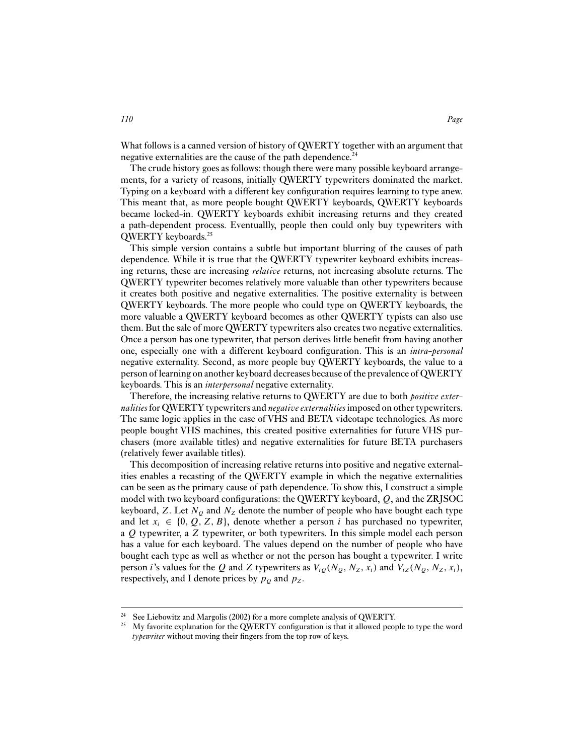What follows is a canned version of history of QWERTY together with an argument that negative externalities are the cause of the path dependence.<sup>24</sup>

The crude history goes as follows: though there were many possible keyboard arrangements, for a variety of reasons, initially QWERTY typewriters dominated the market. Typing on a keyboard with a different key configuration requires learning to type anew. This meant that, as more people bought QWERTY keyboards, QWERTY keyboards became locked-in. QWERTY keyboards exhibit increasing returns and they created a path-dependent process. Eventuallly, people then could only buy typewriters with QWERTY keyboards.25

This simple version contains a subtle but important blurring of the causes of path dependence. While it is true that the QWERTY typewriter keyboard exhibits increasing returns, these are increasing *relative* returns, not increasing absolute returns. The QWERTY typewriter becomes relatively more valuable than other typewriters because it creates both positive and negative externalities. The positive externality is between QWERTY keyboards. The more people who could type on QWERTY keyboards, the more valuable a QWERTY keyboard becomes as other QWERTY typists can also use them. But the sale of more QWERTY typewriters also creates two negative externalities. Once a person has one typewriter, that person derives little benefit from having another one, especially one with a different keyboard configuration. This is an *intra-personal* negative externality. Second, as more people buy QWERTY keyboards, the value to a person of learning on another keyboard decreases because of the prevalence of QWERTY keyboards. This is an *interpersonal* negative externality.

Therefore, the increasing relative returns to QWERTY are due to both *positive externalities* for QWERTY typewriters and *negative externalities* imposed on other typewriters. The same logic applies in the case of VHS and BETA videotape technologies. As more people bought VHS machines, this created positive externalities for future VHS purchasers (more available titles) and negative externalities for future BETA purchasers (relatively fewer available titles).

This decomposition of increasing relative returns into positive and negative externalities enables a recasting of the QWERTY example in which the negative externalities can be seen as the primary cause of path dependence. To show this, I construct a simple model with two keyboard configurations: the QWERTY keyboard, Q, and the ZRJSOC keyboard, Z. Let  $N<sub>O</sub>$  and  $N<sub>Z</sub>$  denote the number of people who have bought each type and let  $x_i \in \{0, Q, Z, B\}$ , denote whether a person i has purchased no typewriter, a Q typewriter, a Z typewriter, or both typewriters. In this simple model each person has a value for each keyboard. The values depend on the number of people who have bought each type as well as whether or not the person has bought a typewriter. I write person *i*'s values for the Q and Z typewriters as  $V_{iQ}(N_Q, N_Z, x_i)$  and  $V_{iZ}(N_Q, N_Z, x_i)$ , respectively, and I denote prices by  $p<sub>Q</sub>$  and  $p<sub>Z</sub>$ .

<sup>&</sup>lt;sup>24</sup> See Liebowitz and Margolis (2002) for a more complete analysis of QWERTY.<br><sup>25</sup> My favorite avalanction for the QWERTY configuration is that it allowed needs

<sup>25</sup> My favorite explanation for the QWERTY configuration is that it allowed people to type the word *typewriter* without moving their fingers from the top row of keys.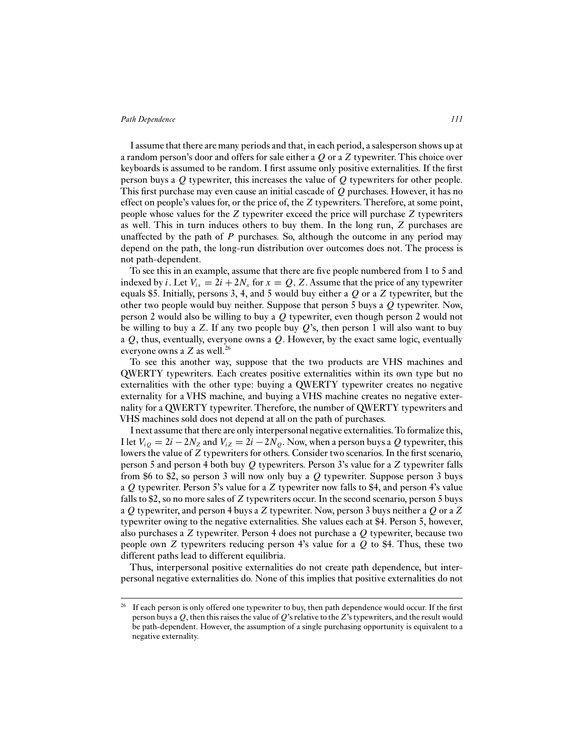I assume that there are many periods and that, in each period, a salesperson shows up at a random person's door and offers for sale either a  $Q$  or a  $Z$  typewriter. This choice over keyboards is assumed to be random. I first assume only positive externalities. If the first person buys a Q typewriter, this increases the value of Q typewriters for other people. This first purchase may even cause an initial cascade of Q purchases. However, it has no effect on people's values for, or the price of, the Z typewriters. Therefore, at some point, people whose values for the Z typewriter exceed the price will purchase Z typewriters as well. This in turn induces others to buy them. In the long run, Z purchases are unaffected by the path of  $P$  purchases. So, although the outcome in any period may depend on the path, the long-run distribution over outcomes does not. The process is not path-dependent.

To see this in an example, assume that there are five people numbered from 1 to 5 and indexed by *i*. Let  $V_{ix} = 2i + 2N_x$  for  $x = Q$ , Z. Assume that the price of any typewriter equals \$5. Initially, persons 3, 4, and 5 would buy either a  $Q$  or a  $Z$  typewriter, but the other two people would buy neither. Suppose that person 5 buys a Q typewriter. Now, person 2 would also be willing to buy a Q typewriter, even though person 2 would not be willing to buy a Z. If any two people buy  $Q$ 's, then person 1 will also want to buy a  $Q$ , thus, eventually, everyone owns a  $Q$ . However, by the exact same logic, eventually everyone owns a  $Z$  as well.<sup>26</sup>

To see this another way, suppose that the two products are VHS machines and QWERTY typewriters. Each creates positive externalities within its own type but no externalities with the other type: buying a QWERTY typewriter creates no negative externality for a VHS machine, and buying a VHS machine creates no negative externality for a QWERTY typewriter. Therefore, the number of QWERTY typewriters and VHS machines sold does not depend at all on the path of purchases.

I next assume that there are only interpersonal negative externalities.To formalize this, I let  $V_{iQ} = 2i - 2N_Z$  and  $V_{iZ} = 2i - 2N_Q$ . Now, when a person buys a Q typewriter, this lowers the value of Z typewriters for others. Consider two scenarios. In the first scenario, person 5 and person 4 both buy Q typewriters. Person 3's value for a Z typewriter falls from \$6 to \$2, so person 3 will now only buy a  $Q$  typewriter. Suppose person 3 buys a Q typewriter. Person 5's value for a Z typewriter now falls to \$4, and person 4's value falls to \$2, so no more sales of Z typewriters occur. In the second scenario, person 5 buys a Q typewriter, and person 4 buys a Z typewriter. Now, person 3 buys neither a Q or a Z typewriter owing to the negative externalities. She values each at \$4. Person 5, however, also purchases a Z typewriter. Person 4 does not purchase a Q typewriter, because two people own  $Z$  typewriters reducing person 4's value for a  $Q$  to \$4. Thus, these two different paths lead to different equilibria.

Thus, interpersonal positive externalities do not create path dependence, but interpersonal negative externalities do. None of this implies that positive externalities do not

<sup>26</sup> If each person is only offered one typewriter to buy, then path dependence would occur. If the first person buys a  $Q$ , then this raises the value of  $Q$ 's relative to the  $Z$ 's typewriters, and the result would be path-dependent. However, the assumption of a single purchasing opportunity is equivalent to a negative externality.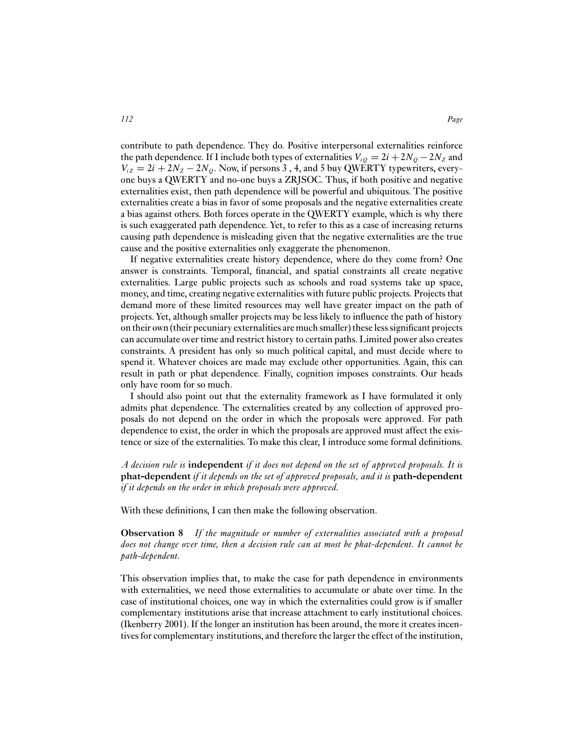contribute to path dependence. They do. Positive interpersonal externalities reinforce the path dependence. If I include both types of externalities  $V_{iQ} = 2i + 2N_Q - 2N_Z$  and  $V_{iz} = 2i + 2N_Z - 2N_Q$ . Now, if persons 3, 4, and 5 buy QWERTY typewriters, everyone buys a QWERTY and no-one buys a ZRJSOC. Thus, if both positive and negative externalities exist, then path dependence will be powerful and ubiquitous. The positive externalities create a bias in favor of some proposals and the negative externalities create a bias against others. Both forces operate in the QWERTY example, which is why there is such exaggerated path dependence. Yet, to refer to this as a case of increasing returns causing path dependence is misleading given that the negative externalities are the true cause and the positive externalities only exaggerate the phenomenon.

If negative externalities create history dependence, where do they come from? One answer is constraints. Temporal, financial, and spatial constraints all create negative externalities. Large public projects such as schools and road systems take up space, money, and time, creating negative externalities with future public projects. Projects that demand more of these limited resources may well have greater impact on the path of projects. Yet, although smaller projects may be less likely to influence the path of history on their own (their pecuniary externalities are much smaller) these less significant projects can accumulate over time and restrict history to certain paths. Limited power also creates constraints. A president has only so much political capital, and must decide where to spend it. Whatever choices are made may exclude other opportunities. Again, this can result in path or phat dependence. Finally, cognition imposes constraints. Our heads only have room for so much.

I should also point out that the externality framework as I have formulated it only admits phat dependence. The externalities created by any collection of approved proposals do not depend on the order in which the proposals were approved. For path dependence to exist, the order in which the proposals are approved must affect the existence or size of the externalities. To make this clear, I introduce some formal definitions.

*A decision rule is* **independent** *if it does not depend on the set of approved proposals. It is* **phat-dependent** *if it depends on the set of approved proposals, and it is* **path-dependent** *if it depends on the order in which proposals were approved.*

With these definitions, I can then make the following observation.

**Observation 8** *If the magnitude or number of externalities associated with a proposal does not change over time, then a decision rule can at most be phat-dependent. It cannot be path-dependent.*

This observation implies that, to make the case for path dependence in environments with externalities, we need those externalities to accumulate or abate over time. In the case of institutional choices, one way in which the externalities could grow is if smaller complementary institutions arise that increase attachment to early institutional choices. (Ikenberry 2001). If the longer an institution has been around, the more it creates incentives for complementary institutions, and therefore the larger the effect of the institution,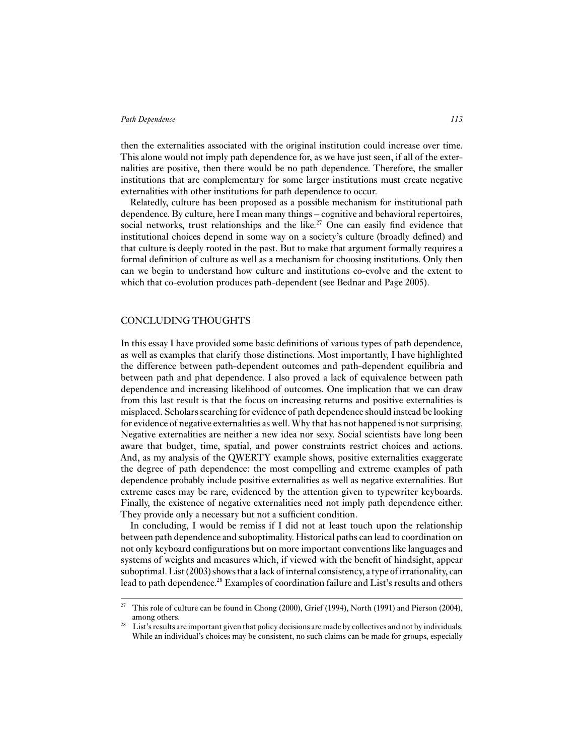then the externalities associated with the original institution could increase over time. This alone would not imply path dependence for, as we have just seen, if all of the externalities are positive, then there would be no path dependence. Therefore, the smaller institutions that are complementary for some larger institutions must create negative externalities with other institutions for path dependence to occur.

Relatedly, culture has been proposed as a possible mechanism for institutional path dependence. By culture, here I mean many things – cognitive and behavioral repertoires, social networks, trust relationships and the like.<sup>27</sup> One can easily find evidence that institutional choices depend in some way on a society's culture (broadly defined) and that culture is deeply rooted in the past. But to make that argument formally requires a formal definition of culture as well as a mechanism for choosing institutions. Only then can we begin to understand how culture and institutions co-evolve and the extent to which that co-evolution produces path-dependent (see Bednar and Page 2005).

# CONCLUDING THOUGHTS

In this essay I have provided some basic definitions of various types of path dependence, as well as examples that clarify those distinctions. Most importantly, I have highlighted the difference between path-dependent outcomes and path-dependent equilibria and between path and phat dependence. I also proved a lack of equivalence between path dependence and increasing likelihood of outcomes. One implication that we can draw from this last result is that the focus on increasing returns and positive externalities is misplaced. Scholars searching for evidence of path dependence should instead be looking for evidence of negative externalities as well.Why that has not happened is not surprising. Negative externalities are neither a new idea nor sexy. Social scientists have long been aware that budget, time, spatial, and power constraints restrict choices and actions. And, as my analysis of the QWERTY example shows, positive externalities exaggerate the degree of path dependence: the most compelling and extreme examples of path dependence probably include positive externalities as well as negative externalities. But extreme cases may be rare, evidenced by the attention given to typewriter keyboards. Finally, the existence of negative externalities need not imply path dependence either. They provide only a necessary but not a sufficient condition.

In concluding, I would be remiss if I did not at least touch upon the relationship between path dependence and suboptimality. Historical paths can lead to coordination on not only keyboard configurations but on more important conventions like languages and systems of weights and measures which, if viewed with the benefit of hindsight, appear suboptimal. List (2003) shows that a lack of internal consistency, a type of irrationality, can lead to path dependence.<sup>28</sup> Examples of coordination failure and List's results and others

<sup>&</sup>lt;sup>27</sup> This role of culture can be found in Chong (2000), Grief (1994), North (1991) and Pierson (2004), among others.

<sup>&</sup>lt;sup>28</sup> List's results are important given that policy decisions are made by collectives and not by individuals. While an individual's choices may be consistent, no such claims can be made for groups, especially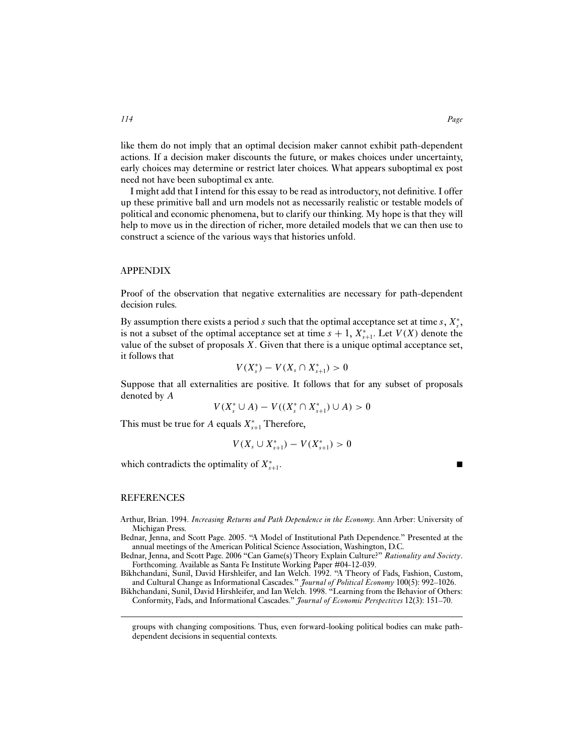like them do not imply that an optimal decision maker cannot exhibit path-dependent actions. If a decision maker discounts the future, or makes choices under uncertainty, early choices may determine or restrict later choices. What appears suboptimal ex post need not have been suboptimal ex ante.

I might add that I intend for this essay to be read as introductory, not definitive. I offer up these primitive ball and urn models not as necessarily realistic or testable models of political and economic phenomena, but to clarify our thinking. My hope is that they will help to move us in the direction of richer, more detailed models that we can then use to construct a science of the various ways that histories unfold.

## APPENDIX

Proof of the observation that negative externalities are necessary for path-dependent decision rules.

By assumption there exists a period s such that the optimal acceptance set at time s,  $X_s^*$ , is not a subset of the optimal acceptance set at time  $s + 1$ ,  $X_{s+1}^*$ . Let  $V(X)$  denote the value of the subset of proposals  $X$ . Given that there is a unique optimal acceptance set, it follows that

$$
V(X_s^*) - V(X_s \cap X_{s+1}^*) > 0
$$

Suppose that all externalities are positive. It follows that for any subset of proposals denoted by A

$$
V(X_s^* \cup A) - V((X_s^* \cap X_{s+1}^*) \cup A) > 0
$$

This must be true for A equals  $X_{s+1}^*$  Therefore,

$$
V(X_s \cup X_{s+1}^*) - V(X_{s+1}^*) > 0
$$

which contradicts the optimality of  $X^*_{s+1}$ .  $s+1$ .

#### REFERENCES

- Arthur, Brian. 1994. *Increasing Returns and Path Dependence in the Economy.* Ann Arber: University of Michigan Press.
- Bednar, Jenna, and Scott Page. 2005. "A Model of Institutional Path Dependence." Presented at the annual meetings of the American Political Science Association, Washington, D.C.
- Bednar, Jenna, and Scott Page. 2006 "Can Game(s) Theory Explain Culture?" *Rationality and Society*. Forthcoming. Available as Santa Fe Institute Working Paper #04-12-039.
- Bikhchandani, Sunil, David Hirshleifer, and Ian Welch. 1992. "A Theory of Fads, Fashion, Custom, and Cultural Change as Informational Cascades." *Journal of Political Economy* 100(5): 992–1026.

Bikhchandani, Sunil, David Hirshleifer, and Ian Welch. 1998. "Learning from the Behavior of Others: Conformity, Fads, and Informational Cascades." *Journal of Economic Perspectives* 12(3): 151–70.

groups with changing compositions. Thus, even forward-looking political bodies can make pathdependent decisions in sequential contexts.